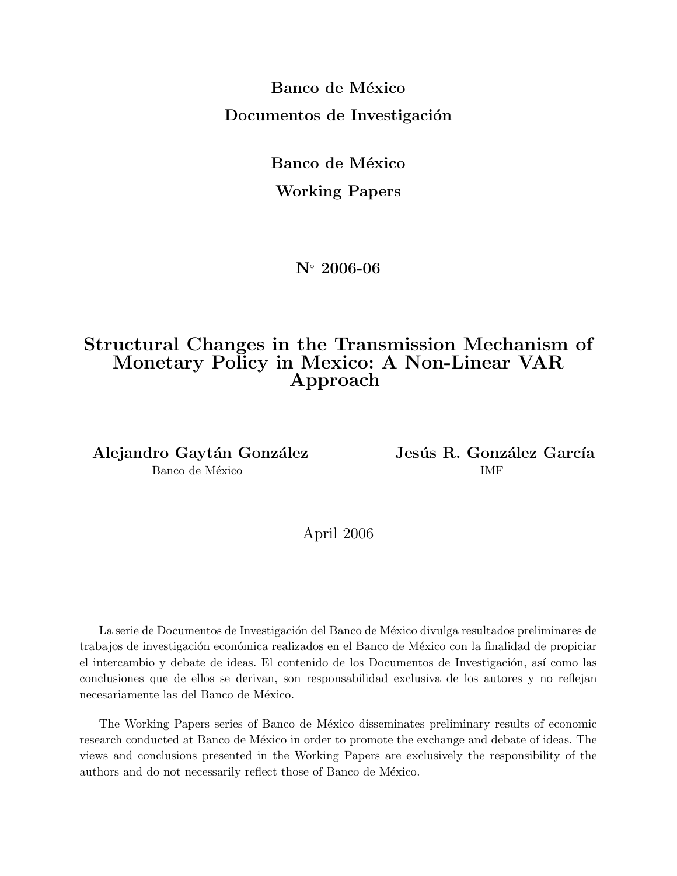Banco de México Documentos de Investigación

> Banco de México Working Papers

> > N◦ 2006-06

## Structural Changes in the Transmission Mechanism of Monetary Policy in Mexico: A Non-Linear VAR Approach

Alejandro Gaytán González Jesús R. González García Banco de México  $\blacksquare$ 

April 2006

La serie de Documentos de Investigación del Banco de México divulga resultados preliminares de trabajos de investigación económica realizados en el Banco de México con la finalidad de propiciar el intercambio y debate de ideas. El contenido de los Documentos de Investigación, así como las conclusiones que de ellos se derivan, son responsabilidad exclusiva de los autores y no reflejan necesariamente las del Banco de México.

The Working Papers series of Banco de México disseminates preliminary results of economic research conducted at Banco de México in order to promote the exchange and debate of ideas. The views and conclusions presented in the Working Papers are exclusively the responsibility of the authors and do not necessarily reflect those of Banco de México.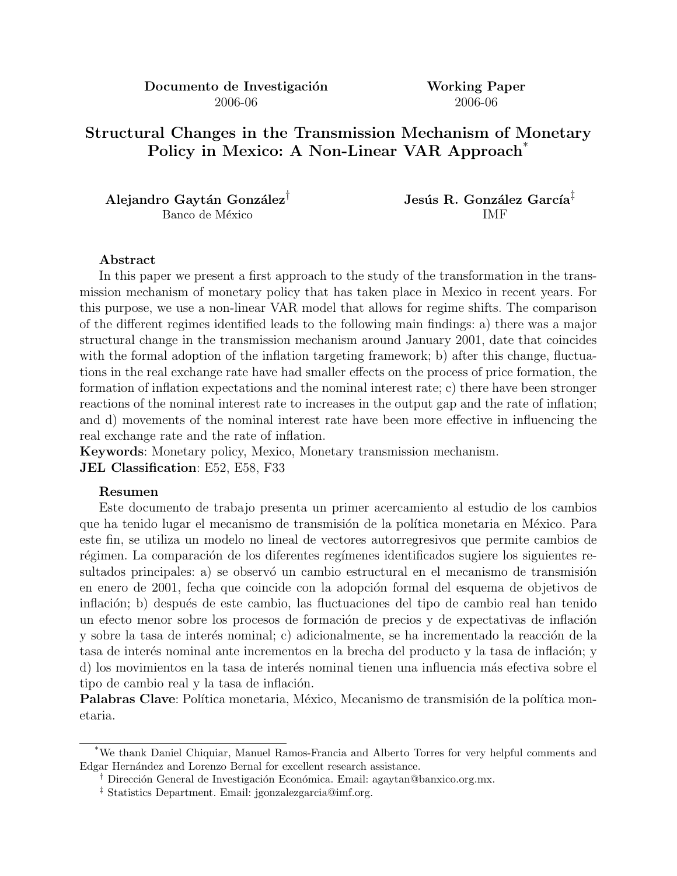Documento de Investigación Working Paper 2006-06 2006-06

Structural Changes in the Transmission Mechanism of Monetary Policy in Mexico: A Non-Linear VAR Approach<sup>\*</sup>

Banco de México que internacionalmente de la proposa de la proposa de la proposa de la proposa de la proposa d

Alejandro Gaytán González<sup>†</sup> Jesús R. González García<sup>‡</sup>

### Abstract

In this paper we present a first approach to the study of the transformation in the transmission mechanism of monetary policy that has taken place in Mexico in recent years. For this purpose, we use a non-linear VAR model that allows for regime shifts. The comparison of the different regimes identified leads to the following main findings: a) there was a major structural change in the transmission mechanism around January 2001, date that coincides with the formal adoption of the inflation targeting framework; b) after this change, fluctuations in the real exchange rate have had smaller effects on the process of price formation, the formation of inflation expectations and the nominal interest rate; c) there have been stronger reactions of the nominal interest rate to increases in the output gap and the rate of inflation; and d) movements of the nominal interest rate have been more effective in influencing the real exchange rate and the rate of inflation.

Keywords: Monetary policy, Mexico, Monetary transmission mechanism. JEL Classification: E52, E58, F33

#### Resumen

Este documento de trabajo presenta un primer acercamiento al estudio de los cambios que ha tenido lugar el mecanismo de transmisión de la política monetaria en México. Para este fin, se utiliza un modelo no lineal de vectores autorregresivos que permite cambios de régimen. La comparación de los diferentes regímenes identificados sugiere los siguientes resultados principales: a) se observó un cambio estructural en el mecanismo de transmisión en enero de 2001, fecha que coincide con la adopción formal del esquema de objetivos de inflación; b) después de este cambio, las fluctuaciones del tipo de cambio real han tenido un efecto menor sobre los procesos de formación de precios y de expectativas de inflación y sobre la tasa de interés nominal; c) adicionalmente, se ha incrementado la reacción de la tasa de interés nominal ante incrementos en la brecha del producto y la tasa de inflación; y d) los movimientos en la tasa de interés nominal tienen una influencia más efectiva sobre el tipo de cambio real y la tasa de inflación.

Palabras Clave: Política monetaria, México, Mecanismo de transmisión de la política monetaria.

<sup>\*</sup>We thank Daniel Chiquiar, Manuel Ramos-Francia and Alberto Torres for very helpful comments and Edgar Hernández and Lorenzo Bernal for excellent research assistance.

<sup>&</sup>lt;sup>†</sup> Dirección General de Investigación Económica. Email: agaytan@banxico.org.mx.

<sup>‡</sup> Statistics Department. Email: jgonzalezgarcia@imf.org.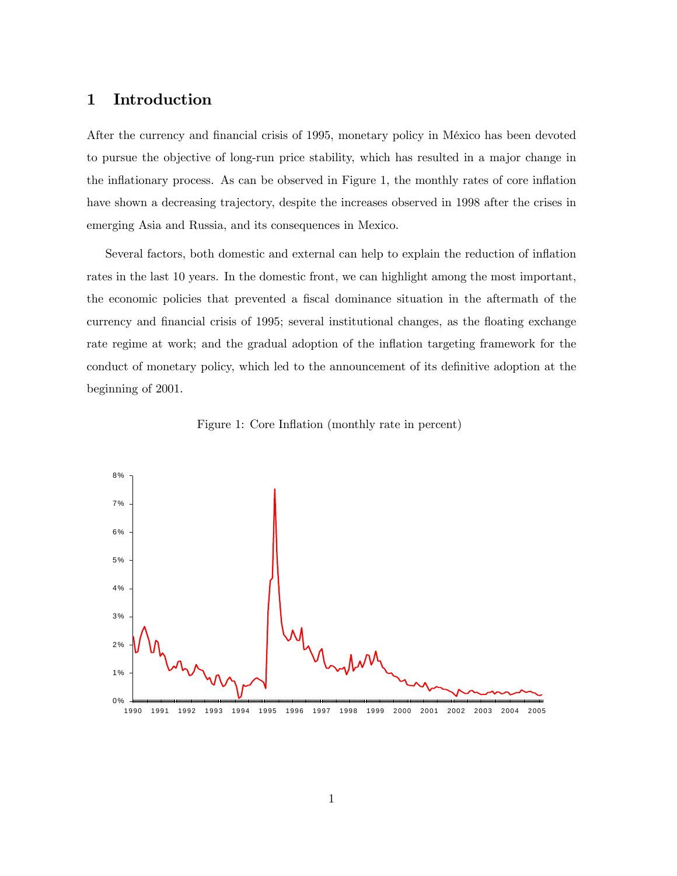### 1 Introduction

After the currency and financial crisis of 1995, monetary policy in México has been devoted to pursue the objective of long-run price stability, which has resulted in a major change in the inflationary process. As can be observed in Figure 1, the monthly rates of core inflation have shown a decreasing trajectory, despite the increases observed in 1998 after the crises in emerging Asia and Russia, and its consequences in Mexico.

Several factors, both domestic and external can help to explain the reduction of inflation rates in the last 10 years. In the domestic front, we can highlight among the most important, the economic policies that prevented a fiscal dominance situation in the aftermath of the currency and financial crisis of 1995; several institutional changes, as the floating exchange rate regime at work; and the gradual adoption of the inflation targeting framework for the conduct of monetary policy, which led to the announcement of its definitive adoption at the beginning of 2001.



Figure 1: Core Inflation (monthly rate in percent)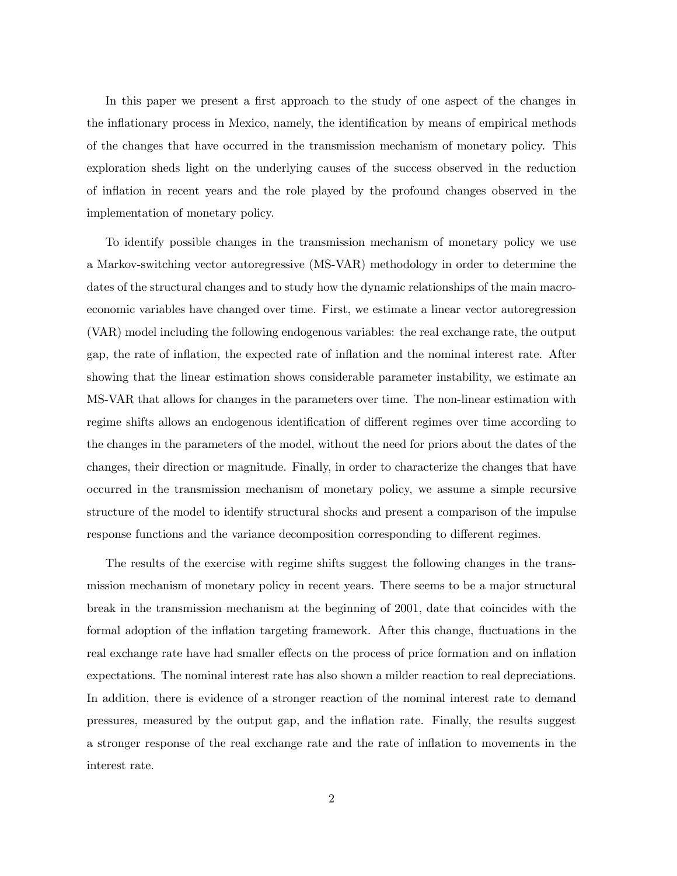In this paper we present a first approach to the study of one aspect of the changes in the inflationary process in Mexico, namely, the identification by means of empirical methods of the changes that have occurred in the transmission mechanism of monetary policy. This exploration sheds light on the underlying causes of the success observed in the reduction of inflation in recent years and the role played by the profound changes observed in the implementation of monetary policy.

To identify possible changes in the transmission mechanism of monetary policy we use a Markov-switching vector autoregressive (MS-VAR) methodology in order to determine the dates of the structural changes and to study how the dynamic relationships of the main macroeconomic variables have changed over time. First, we estimate a linear vector autoregression (VAR) model including the following endogenous variables: the real exchange rate, the output gap, the rate of inflation, the expected rate of inflation and the nominal interest rate. After showing that the linear estimation shows considerable parameter instability, we estimate an MS-VAR that allows for changes in the parameters over time. The non-linear estimation with regime shifts allows an endogenous identification of different regimes over time according to the changes in the parameters of the model, without the need for priors about the dates of the changes, their direction or magnitude. Finally, in order to characterize the changes that have occurred in the transmission mechanism of monetary policy, we assume a simple recursive structure of the model to identify structural shocks and present a comparison of the impulse response functions and the variance decomposition corresponding to different regimes.

The results of the exercise with regime shifts suggest the following changes in the transmission mechanism of monetary policy in recent years. There seems to be a major structural break in the transmission mechanism at the beginning of 2001, date that coincides with the formal adoption of the inflation targeting framework. After this change, fluctuations in the real exchange rate have had smaller effects on the process of price formation and on inflation expectations. The nominal interest rate has also shown a milder reaction to real depreciations. In addition, there is evidence of a stronger reaction of the nominal interest rate to demand pressures, measured by the output gap, and the inflation rate. Finally, the results suggest a stronger response of the real exchange rate and the rate of inflation to movements in the interest rate.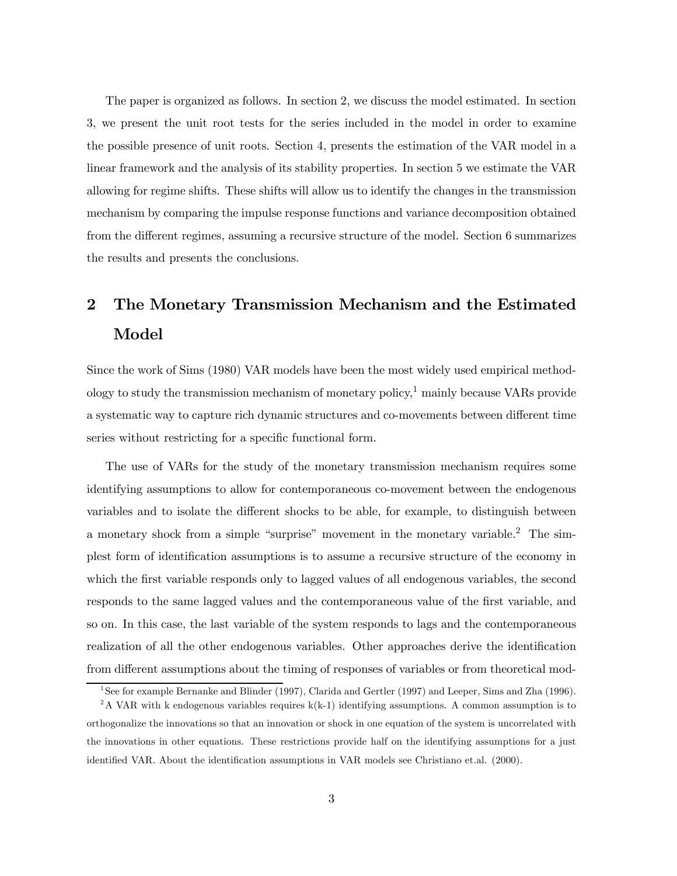The paper is organized as follows. In section 2, we discuss the model estimated. In section 3, we present the unit root tests for the series included in the model in order to examine the possible presence of unit roots. Section 4, presents the estimation of the VAR model in a linear framework and the analysis of its stability properties. In section 5 we estimate the VAR allowing for regime shifts. These shifts will allow us to identify the changes in the transmission mechanism by comparing the impulse response functions and variance decomposition obtained from the different regimes, assuming a recursive structure of the model. Section 6 summarizes the results and presents the conclusions.

# 2 The Monetary Transmission Mechanism and the Estimated Model

Since the work of Sims (1980) VAR models have been the most widely used empirical methodology to study the transmission mechanism of monetary policy, $\frac{1}{1}$  mainly because VARs provide a systematic way to capture rich dynamic structures and co-movements between different time series without restricting for a specific functional form.

The use of VARs for the study of the monetary transmission mechanism requires some identifying assumptions to allow for contemporaneous co-movement between the endogenous variables and to isolate the different shocks to be able, for example, to distinguish between a monetary shock from a simple "surprise" movement in the monetary variable.2 The simplest form of identification assumptions is to assume a recursive structure of the economy in which the first variable responds only to lagged values of all endogenous variables, the second responds to the same lagged values and the contemporaneous value of the first variable, and so on. In this case, the last variable of the system responds to lags and the contemporaneous realization of all the other endogenous variables. Other approaches derive the identification from different assumptions about the timing of responses of variables or from theoretical mod-

<sup>&</sup>lt;sup>1</sup>See for example Bernanke and Blinder (1997), Clarida and Gertler (1997) and Leeper, Sims and Zha (1996).

<sup>&</sup>lt;sup>2</sup>A VAR with k endogenous variables requires  $k(k-1)$  identifying assumptions. A common assumption is to orthogonalize the innovations so that an innovation or shock in one equation of the system is uncorrelated with the innovations in other equations. These restrictions provide half on the identifying assumptions for a just identified VAR. About the identification assumptions in VAR models see Christiano et.al. (2000).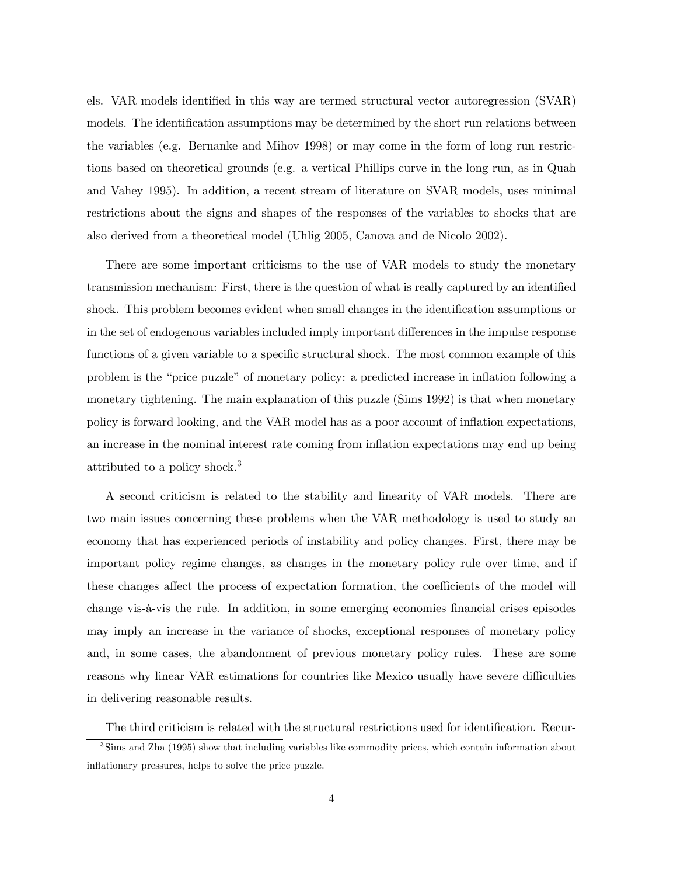els. VAR models identified in this way are termed structural vector autoregression (SVAR) models. The identification assumptions may be determined by the short run relations between the variables (e.g. Bernanke and Mihov 1998) or may come in the form of long run restrictions based on theoretical grounds (e.g. a vertical Phillips curve in the long run, as in Quah and Vahey 1995). In addition, a recent stream of literature on SVAR models, uses minimal restrictions about the signs and shapes of the responses of the variables to shocks that are also derived from a theoretical model (Uhlig 2005, Canova and de Nicolo 2002).

There are some important criticisms to the use of VAR models to study the monetary transmission mechanism: First, there is the question of what is really captured by an identified shock. This problem becomes evident when small changes in the identification assumptions or in the set of endogenous variables included imply important differences in the impulse response functions of a given variable to a specific structural shock. The most common example of this problem is the "price puzzle" of monetary policy: a predicted increase in inflation following a monetary tightening. The main explanation of this puzzle (Sims 1992) is that when monetary policy is forward looking, and the VAR model has as a poor account of inflation expectations, an increase in the nominal interest rate coming from inflation expectations may end up being attributed to a policy shock.<sup>3</sup>

A second criticism is related to the stability and linearity of VAR models. There are two main issues concerning these problems when the VAR methodology is used to study an economy that has experienced periods of instability and policy changes. First, there may be important policy regime changes, as changes in the monetary policy rule over time, and if these changes affect the process of expectation formation, the coefficients of the model will change vis-à-vis the rule. In addition, in some emerging economies financial crises episodes may imply an increase in the variance of shocks, exceptional responses of monetary policy and, in some cases, the abandonment of previous monetary policy rules. These are some reasons why linear VAR estimations for countries like Mexico usually have severe difficulties in delivering reasonable results.

The third criticism is related with the structural restrictions used for identification. Recur-

<sup>&</sup>lt;sup>3</sup>Sims and Zha (1995) show that including variables like commodity prices, which contain information about inflationary pressures, helps to solve the price puzzle.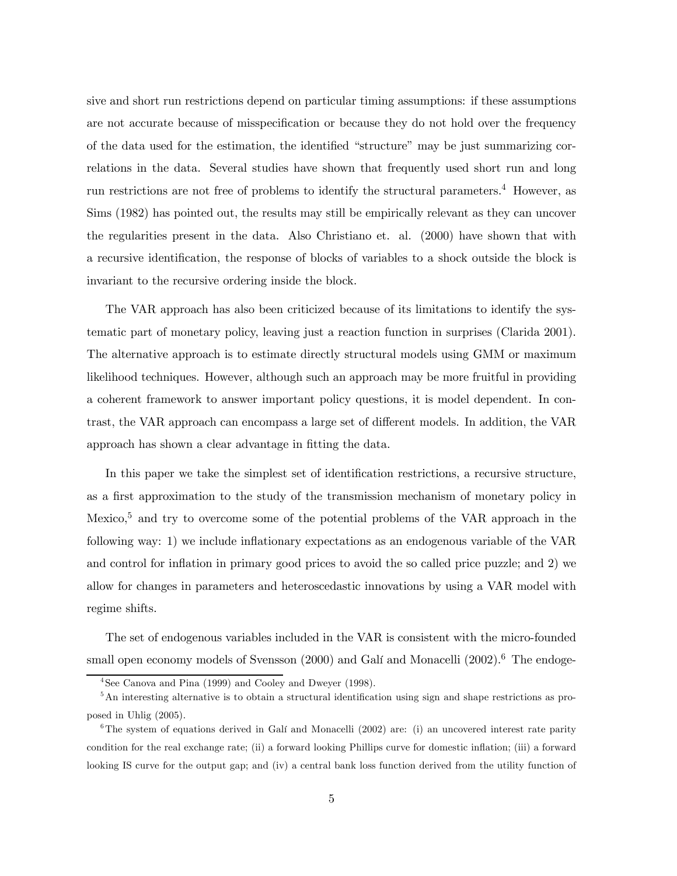sive and short run restrictions depend on particular timing assumptions: if these assumptions are not accurate because of misspecification or because they do not hold over the frequency of the data used for the estimation, the identified "structure" may be just summarizing correlations in the data. Several studies have shown that frequently used short run and long run restrictions are not free of problems to identify the structural parameters.4 However, as Sims (1982) has pointed out, the results may still be empirically relevant as they can uncover the regularities present in the data. Also Christiano et. al. (2000) have shown that with a recursive identification, the response of blocks of variables to a shock outside the block is invariant to the recursive ordering inside the block.

The VAR approach has also been criticized because of its limitations to identify the systematic part of monetary policy, leaving just a reaction function in surprises (Clarida 2001). The alternative approach is to estimate directly structural models using GMM or maximum likelihood techniques. However, although such an approach may be more fruitful in providing a coherent framework to answer important policy questions, it is model dependent. In contrast, the VAR approach can encompass a large set of different models. In addition, the VAR approach has shown a clear advantage in fitting the data.

In this paper we take the simplest set of identification restrictions, a recursive structure, as a first approximation to the study of the transmission mechanism of monetary policy in Mexico,<sup>5</sup> and try to overcome some of the potential problems of the VAR approach in the following way: 1) we include inflationary expectations as an endogenous variable of the VAR and control for inflation in primary good prices to avoid the so called price puzzle; and 2) we allow for changes in parameters and heteroscedastic innovations by using a VAR model with regime shifts.

The set of endogenous variables included in the VAR is consistent with the micro-founded small open economy models of Svensson  $(2000)$  and Galí and Monacelli  $(2002)$ .<sup>6</sup> The endoge-

<sup>4</sup>See Canova and Pina (1999) and Cooley and Dweyer (1998).

<sup>&</sup>lt;sup>5</sup>An interesting alternative is to obtain a structural identification using sign and shape restrictions as proposed in Uhlig (2005).

 $6$ The system of equations derived in Galí and Monacelli (2002) are: (i) an uncovered interest rate parity condition for the real exchange rate; (ii) a forward looking Phillips curve for domestic inflation; (iii) a forward looking IS curve for the output gap; and (iv) a central bank loss function derived from the utility function of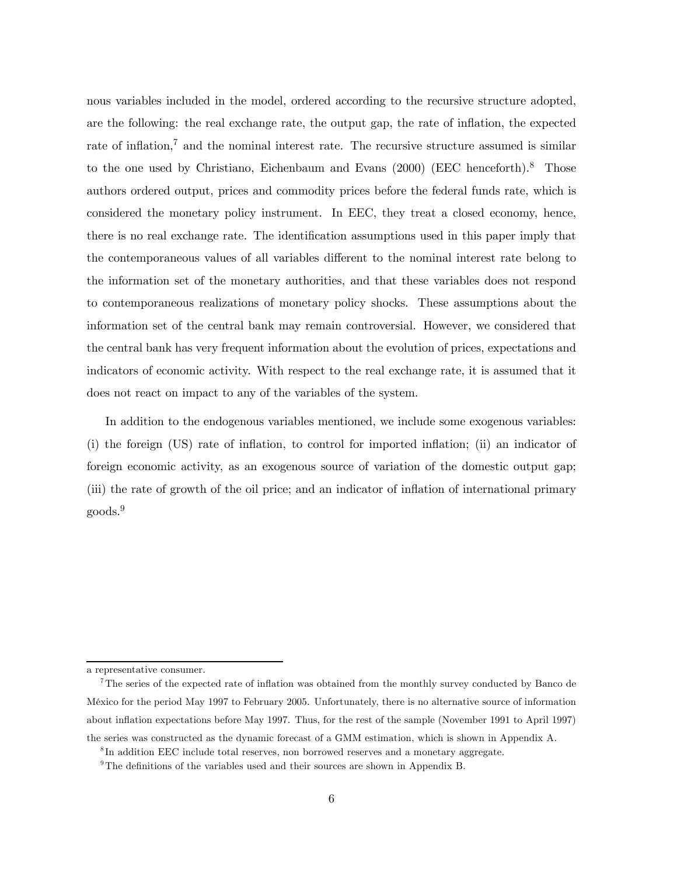nous variables included in the model, ordered according to the recursive structure adopted, are the following: the real exchange rate, the output gap, the rate of inflation, the expected rate of inflation,<sup>7</sup> and the nominal interest rate. The recursive structure assumed is similar to the one used by Christiano, Eichenbaum and Evans (2000) (EEC henceforth).<sup>8</sup> Those authors ordered output, prices and commodity prices before the federal funds rate, which is considered the monetary policy instrument. In EEC, they treat a closed economy, hence, there is no real exchange rate. The identification assumptions used in this paper imply that the contemporaneous values of all variables different to the nominal interest rate belong to the information set of the monetary authorities, and that these variables does not respond to contemporaneous realizations of monetary policy shocks. These assumptions about the information set of the central bank may remain controversial. However, we considered that the central bank has very frequent information about the evolution of prices, expectations and indicators of economic activity. With respect to the real exchange rate, it is assumed that it does not react on impact to any of the variables of the system.

In addition to the endogenous variables mentioned, we include some exogenous variables: (i) the foreign (US) rate of inflation, to control for imported inflation; (ii) an indicator of foreign economic activity, as an exogenous source of variation of the domestic output gap; (iii) the rate of growth of the oil price; and an indicator of inflation of international primary goods.<sup>9</sup>

a representative consumer.

<sup>7</sup>The series of the expected rate of inflation was obtained from the monthly survey conducted by Banco de México for the period May 1997 to February 2005. Unfortunately, there is no alternative source of information about inflation expectations before May 1997. Thus, for the rest of the sample (November 1991 to April 1997) the series was constructed as the dynamic forecast of a GMM estimation, which is shown in Appendix A.

<sup>8</sup> In addition EEC include total reserves, non borrowed reserves and a monetary aggregate.

 $9$ The definitions of the variables used and their sources are shown in Appendix B.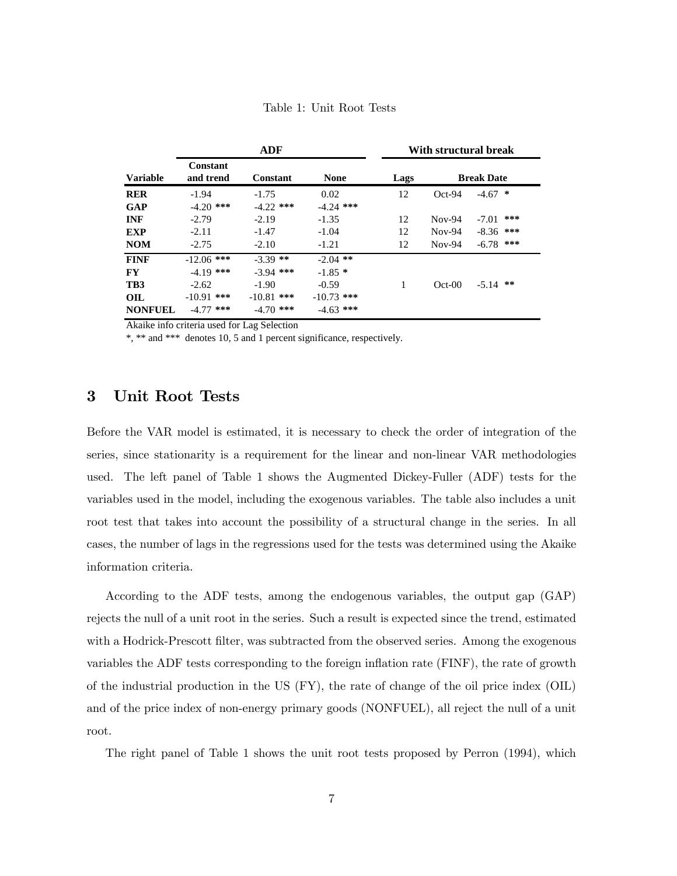|                 |                              | <b>ADF</b>      |              |      | With structural break |                   |  |  |
|-----------------|------------------------------|-----------------|--------------|------|-----------------------|-------------------|--|--|
| <b>Variable</b> | <b>Constant</b><br>and trend | <b>Constant</b> | <b>None</b>  | Lags |                       | <b>Break Date</b> |  |  |
| <b>RER</b>      | $-1.94$                      | $-1.75$         | 0.02         | 12   | $Oct-94$              | $-4.67$<br>∗      |  |  |
| <b>GAP</b>      | $-4.20$ ***                  | $-4.22$ ***     | $-4.24$ ***  |      |                       |                   |  |  |
| <b>INF</b>      | $-2.79$                      | $-2.19$         | $-1.35$      | 12   | $Nov-94$              | ***<br>$-7.01$    |  |  |
| <b>EXP</b>      | $-2.11$                      | $-1.47$         | $-1.04$      | 12   | $Nov-94$              | $-8.36$ ***       |  |  |
| <b>NOM</b>      | $-2.75$                      | $-2.10$         | $-1.21$      | 12   | $Nov-94$              | $-6.78$ ***       |  |  |
| <b>FINF</b>     | $-12.06$ ***                 | $-3.39$ **      | $-2.04$ **   |      |                       |                   |  |  |
| <b>FY</b>       | $-4.19$ ***                  | $-3.94$ ***     | $-1.85*$     |      |                       |                   |  |  |
| TB <sub>3</sub> | $-2.62$                      | $-1.90$         | $-0.59$      | 1    | $Oct-00$              | $-5.14$ **        |  |  |
| OIL             | $-10.91$ ***                 | $-10.81$ ***    | $-10.73$ *** |      |                       |                   |  |  |
| <b>NONFUEL</b>  | $-4.77$ ***                  | $-4.70$ ***     | $-4.63$ ***  |      |                       |                   |  |  |

Table 1: Unit Root Tests

Akaike info criteria used for Lag Selection

\*, \*\* and \*\*\* denotes 10, 5 and 1 percent significance, respectively.

### 3 Unit Root Tests

Before the VAR model is estimated, it is necessary to check the order of integration of the series, since stationarity is a requirement for the linear and non-linear VAR methodologies used. The left panel of Table 1 shows the Augmented Dickey-Fuller (ADF) tests for the variables used in the model, including the exogenous variables. The table also includes a unit root test that takes into account the possibility of a structural change in the series. In all cases, the number of lags in the regressions used for the tests was determined using the Akaike information criteria.

According to the ADF tests, among the endogenous variables, the output gap (GAP) rejects the null of a unit root in the series. Such a result is expected since the trend, estimated with a Hodrick-Prescott filter, was subtracted from the observed series. Among the exogenous variables the ADF tests corresponding to the foreign inflation rate (FINF), the rate of growth of the industrial production in the US (FY), the rate of change of the oil price index (OIL) and of the price index of non-energy primary goods (NONFUEL), all reject the null of a unit root.

The right panel of Table 1 shows the unit root tests proposed by Perron (1994), which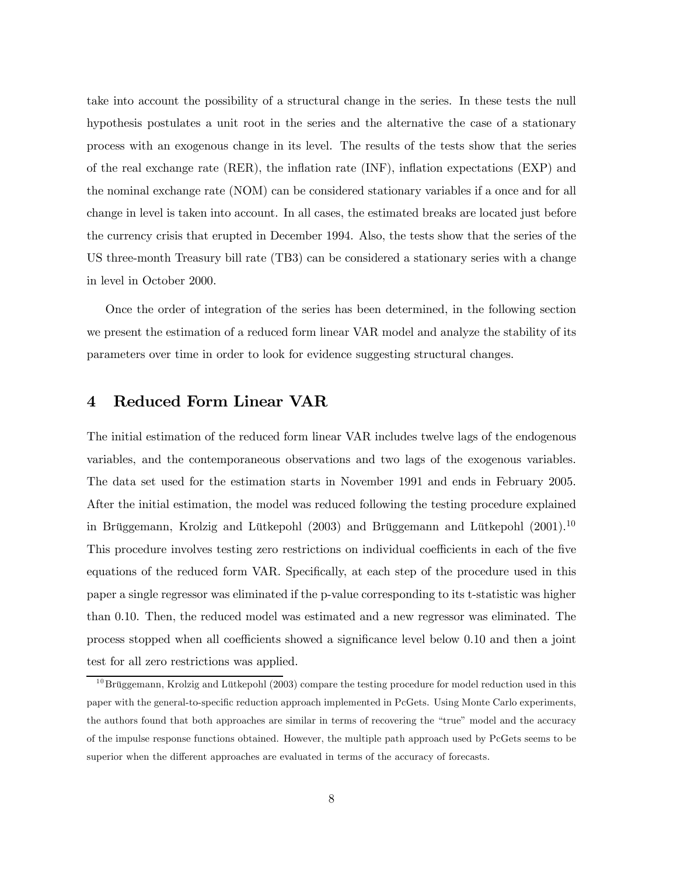take into account the possibility of a structural change in the series. In these tests the null hypothesis postulates a unit root in the series and the alternative the case of a stationary process with an exogenous change in its level. The results of the tests show that the series of the real exchange rate (RER), the inflation rate (INF), inflation expectations (EXP) and the nominal exchange rate (NOM) can be considered stationary variables if a once and for all change in level is taken into account. In all cases, the estimated breaks are located just before the currency crisis that erupted in December 1994. Also, the tests show that the series of the US three-month Treasury bill rate (TB3) can be considered a stationary series with a change in level in October 2000.

Once the order of integration of the series has been determined, in the following section we present the estimation of a reduced form linear VAR model and analyze the stability of its parameters over time in order to look for evidence suggesting structural changes.

### 4 Reduced Form Linear VAR

The initial estimation of the reduced form linear VAR includes twelve lags of the endogenous variables, and the contemporaneous observations and two lags of the exogenous variables. The data set used for the estimation starts in November 1991 and ends in February 2005. After the initial estimation, the model was reduced following the testing procedure explained in Brüggemann, Krolzig and Lütkepohl (2003) and Brüggemann and Lütkepohl (2001).<sup>10</sup> This procedure involves testing zero restrictions on individual coefficients in each of the five equations of the reduced form VAR. Specifically, at each step of the procedure used in this paper a single regressor was eliminated if the p-value corresponding to its t-statistic was higher than 0.10. Then, the reduced model was estimated and a new regressor was eliminated. The process stopped when all coefficients showed a significance level below 0.10 and then a joint test for all zero restrictions was applied.

 $10$ Brüggemann, Krolzig and Lütkepohl (2003) compare the testing procedure for model reduction used in this paper with the general-to-specific reduction approach implemented in PcGets. Using Monte Carlo experiments, the authors found that both approaches are similar in terms of recovering the "true" model and the accuracy of the impulse response functions obtained. However, the multiple path approach used by PcGets seems to be superior when the different approaches are evaluated in terms of the accuracy of forecasts.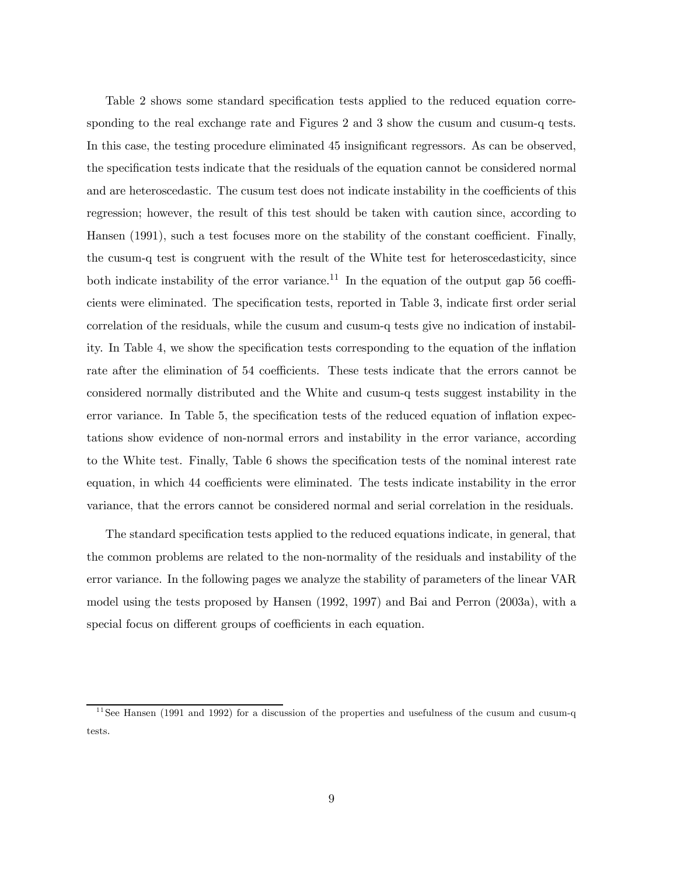Table 2 shows some standard specification tests applied to the reduced equation corresponding to the real exchange rate and Figures 2 and 3 show the cusum and cusum-q tests. In this case, the testing procedure eliminated 45 insignificant regressors. As can be observed, the specification tests indicate that the residuals of the equation cannot be considered normal and are heteroscedastic. The cusum test does not indicate instability in the coefficients of this regression; however, the result of this test should be taken with caution since, according to Hansen (1991), such a test focuses more on the stability of the constant coefficient. Finally, the cusum-q test is congruent with the result of the White test for heteroscedasticity, since both indicate instability of the error variance.<sup>11</sup> In the equation of the output gap 56 coefficients were eliminated. The specification tests, reported in Table 3, indicate first order serial correlation of the residuals, while the cusum and cusum-q tests give no indication of instability. In Table 4, we show the specification tests corresponding to the equation of the inflation rate after the elimination of 54 coefficients. These tests indicate that the errors cannot be considered normally distributed and the White and cusum-q tests suggest instability in the error variance. In Table 5, the specification tests of the reduced equation of inflation expectations show evidence of non-normal errors and instability in the error variance, according to the White test. Finally, Table 6 shows the specification tests of the nominal interest rate equation, in which 44 coefficients were eliminated. The tests indicate instability in the error variance, that the errors cannot be considered normal and serial correlation in the residuals.

The standard specification tests applied to the reduced equations indicate, in general, that the common problems are related to the non-normality of the residuals and instability of the error variance. In the following pages we analyze the stability of parameters of the linear VAR model using the tests proposed by Hansen (1992, 1997) and Bai and Perron (2003a), with a special focus on different groups of coefficients in each equation.

<sup>&</sup>lt;sup>11</sup> See Hansen (1991 and 1992) for a discussion of the properties and usefulness of the cusum and cusum-q tests.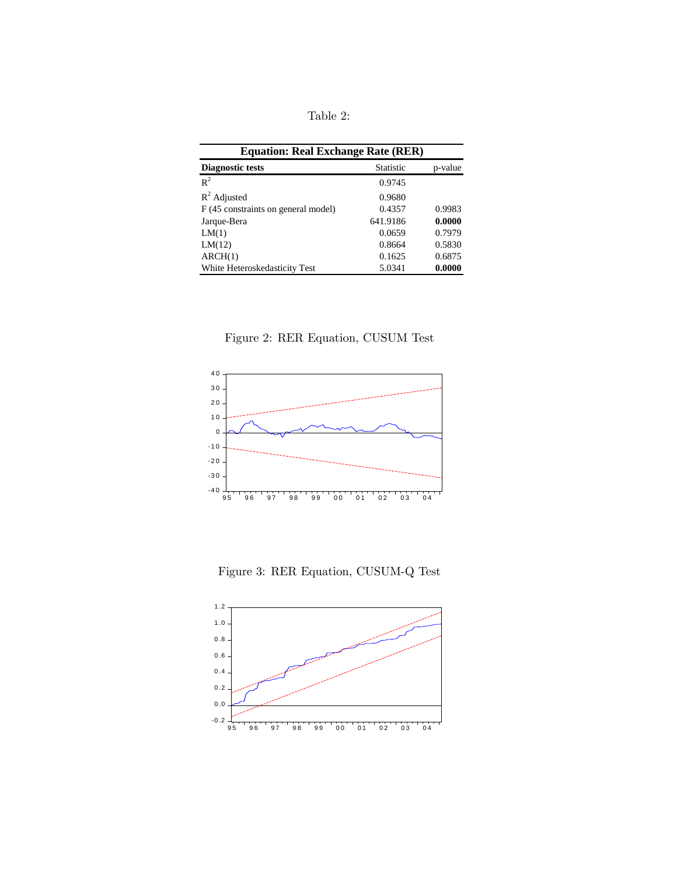Table 2:

| <b>Equation: Real Exchange Rate (RER)</b>   |          |        |  |  |  |  |
|---------------------------------------------|----------|--------|--|--|--|--|
| <b>Statistic</b><br><b>Diagnostic tests</b> |          |        |  |  |  |  |
| $R^2$                                       | 0.9745   |        |  |  |  |  |
| $R^2$ Adjusted                              | 0.9680   |        |  |  |  |  |
| F (45 constraints on general model)         | 0.4357   | 0.9983 |  |  |  |  |
| Jarque-Bera                                 | 641.9186 | 0.0000 |  |  |  |  |
| LM(1)                                       | 0.0659   | 0.7979 |  |  |  |  |
| LM(12)                                      | 0.8664   | 0.5830 |  |  |  |  |
| ARCH(1)                                     | 0.1625   | 0.6875 |  |  |  |  |
| White Heteroskedasticity Test               | 5.0341   | 0.0000 |  |  |  |  |

Figure 2: RER Equation, CUSUM Test



Figure 3: RER Equation, CUSUM-Q Test

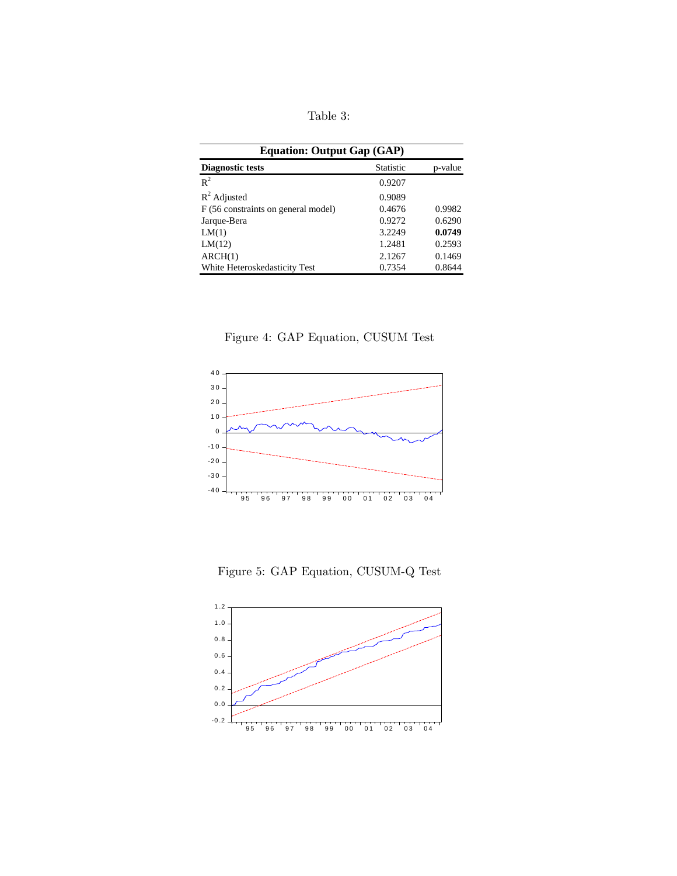Table 3:

| <b>Equation: Output Gap (GAP)</b>   |                  |         |  |  |  |
|-------------------------------------|------------------|---------|--|--|--|
| <b>Diagnostic tests</b>             | <b>Statistic</b> | p-value |  |  |  |
| $R^2$                               | 0.9207           |         |  |  |  |
| $R^2$ Adjusted                      | 0.9089           |         |  |  |  |
| F (56 constraints on general model) | 0.4676           | 0.9982  |  |  |  |
| Jarque-Bera                         | 0.9272           | 0.6290  |  |  |  |
| LM(1)                               | 3.2249           | 0.0749  |  |  |  |
| LM(12)                              | 1.2481           | 0.2593  |  |  |  |
| ARCH(1)                             | 2.1267           | 0.1469  |  |  |  |
| White Heteroskedasticity Test       | 0.7354           | 0.8644  |  |  |  |

Figure 4: GAP Equation, CUSUM Test



Figure 5: GAP Equation, CUSUM-Q Test

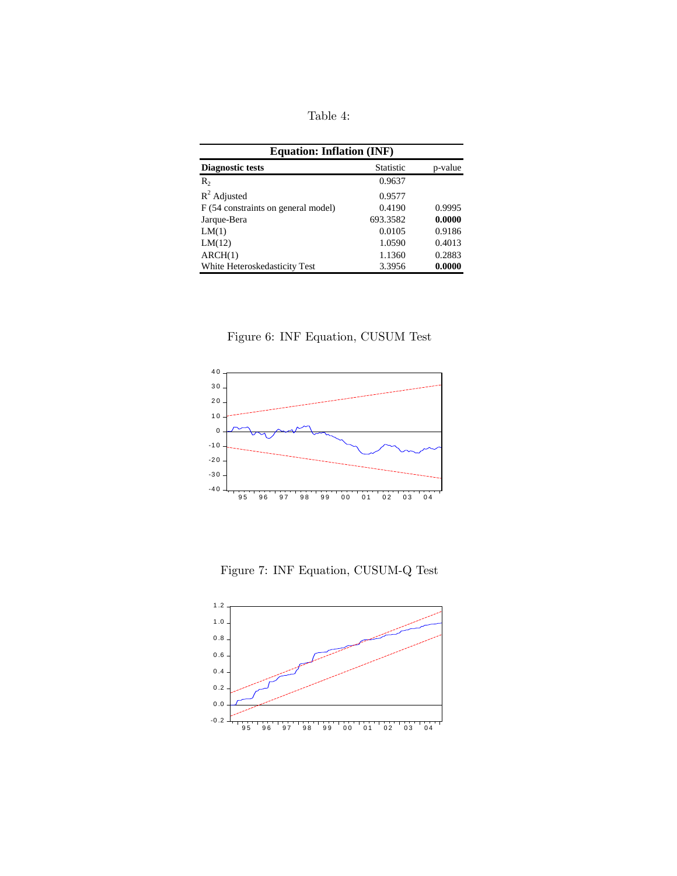Table 4:

| <b>Equation: Inflation (INF)</b>    |           |         |  |  |  |
|-------------------------------------|-----------|---------|--|--|--|
| <b>Diagnostic tests</b>             | Statistic | p-value |  |  |  |
| $R_{2}$                             | 0.9637    |         |  |  |  |
| $R^2$ Adjusted                      | 0.9577    |         |  |  |  |
| F (54 constraints on general model) | 0.4190    | 0.9995  |  |  |  |
| Jarque-Bera                         | 693.3582  | 0.0000  |  |  |  |
| LM(1)                               | 0.0105    | 0.9186  |  |  |  |
| LM(12)                              | 1.0590    | 0.4013  |  |  |  |
| ARCH(1)                             | 1.1360    | 0.2883  |  |  |  |
| White Heteroskedasticity Test       | 3.3956    | 0.0000  |  |  |  |

Figure 6: INF Equation, CUSUM Test



Figure 7: INF Equation, CUSUM-Q Test

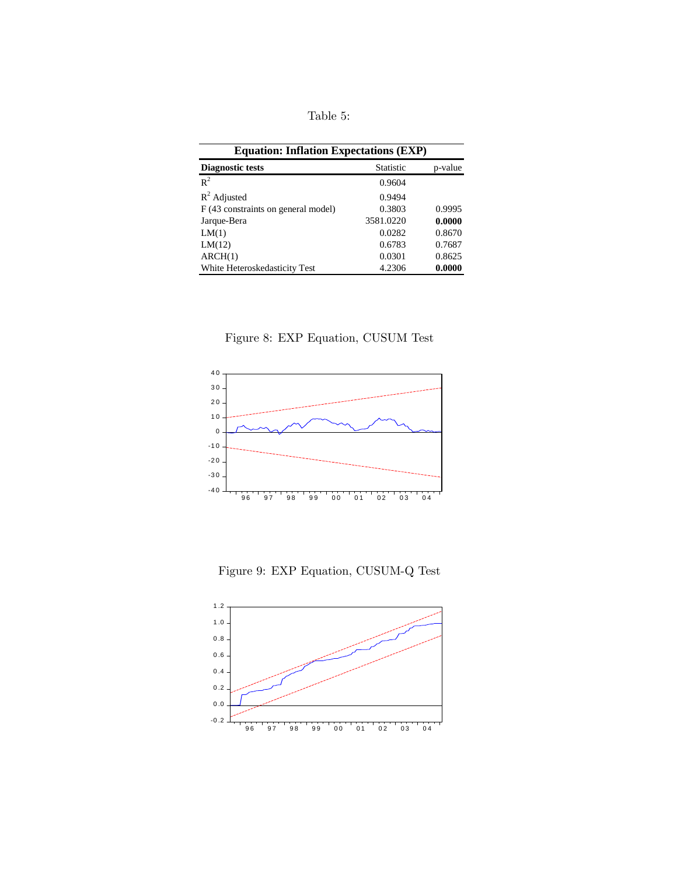Table 5:

| <b>Equation: Inflation Expectations (EXP)</b> |                  |         |  |  |  |
|-----------------------------------------------|------------------|---------|--|--|--|
| <b>Diagnostic tests</b>                       | <b>Statistic</b> | p-value |  |  |  |
| $R^2$                                         | 0.9604           |         |  |  |  |
| $R^2$ Adjusted                                | 0.9494           |         |  |  |  |
| F (43 constraints on general model)           | 0.3803           | 0.9995  |  |  |  |
| Jarque-Bera                                   | 3581.0220        | 0.0000  |  |  |  |
| LM(1)                                         | 0.0282           | 0.8670  |  |  |  |
| LM(12)                                        | 0.6783           | 0.7687  |  |  |  |
| ARCH(1)                                       | 0.0301           | 0.8625  |  |  |  |
| White Heteroskedasticity Test                 | 4.2306           | 0.0000  |  |  |  |

Figure 8: EXP Equation, CUSUM Test



Figure 9: EXP Equation, CUSUM-Q Test

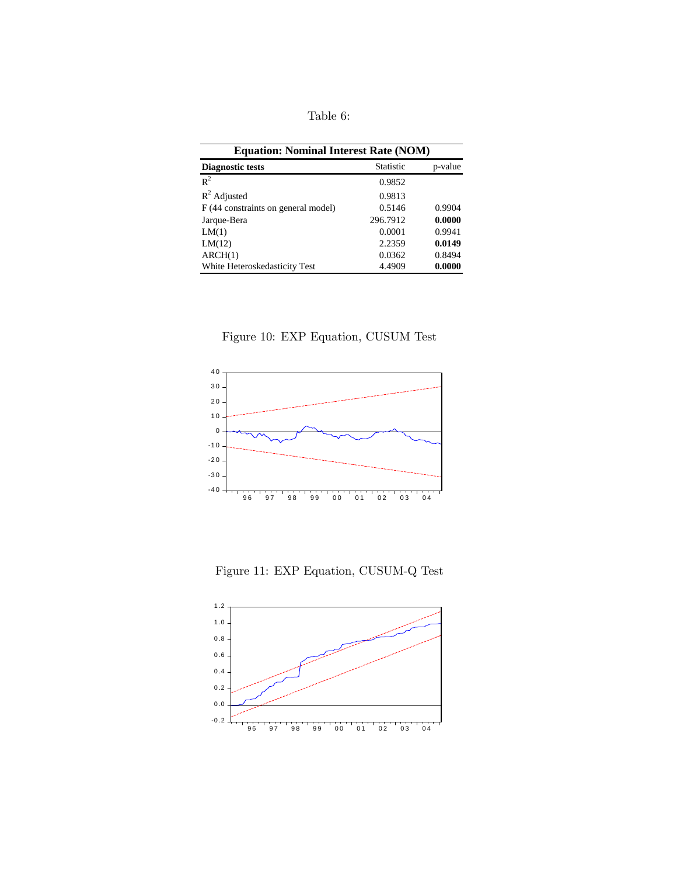Table 6:

| <b>Equation: Nominal Interest Rate (NOM)</b> |                  |         |  |  |  |
|----------------------------------------------|------------------|---------|--|--|--|
| <b>Diagnostic tests</b>                      | <b>Statistic</b> | p-value |  |  |  |
| $R^2$                                        | 0.9852           |         |  |  |  |
| $R^2$ Adjusted                               | 0.9813           |         |  |  |  |
| F (44 constraints on general model)          | 0.5146           | 0.9904  |  |  |  |
| Jarque-Bera                                  | 296.7912         | 0.0000  |  |  |  |
| LM(1)                                        | 0.0001           | 0.9941  |  |  |  |
| LM(12)                                       | 2.2359           | 0.0149  |  |  |  |
| ARCH(1)                                      | 0.0362           | 0.8494  |  |  |  |
| White Heteroskedasticity Test                | 4.4909           | 0.0000  |  |  |  |





Figure 11: EXP Equation, CUSUM-Q Test

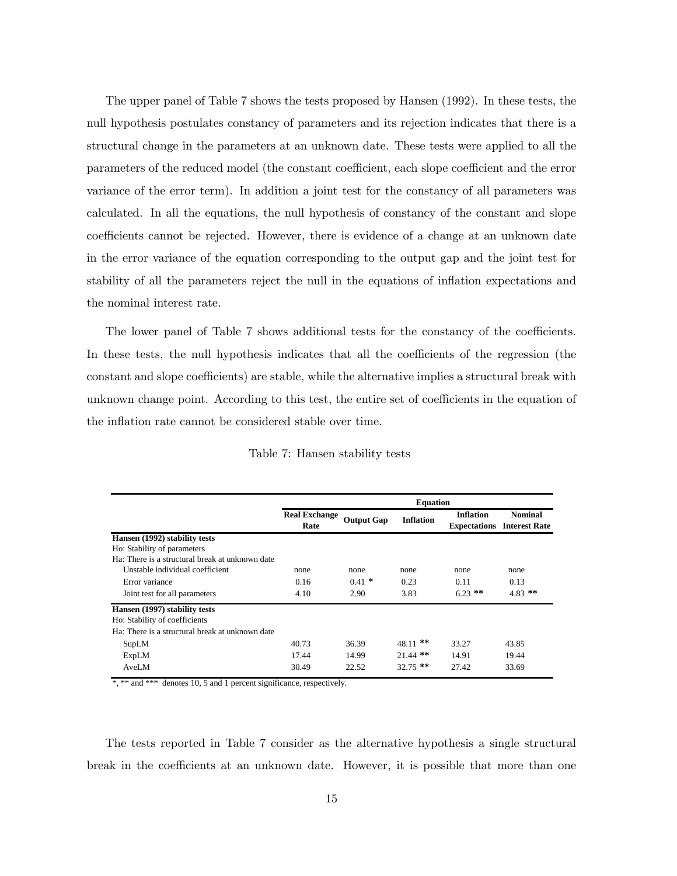The upper panel of Table 7 shows the tests proposed by Hansen (1992). In these tests, the null hypothesis postulates constancy of parameters and its rejection indicates that there is a structural change in the parameters at an unknown date. These tests were applied to all the parameters of the reduced model (the constant coefficient, each slope coefficient and the error variance of the error term). In addition a joint test for the constancy of all parameters was calculated. In all the equations, the null hypothesis of constancy of the constant and slope coefficients cannot be rejected. However, there is evidence of a change at an unknown date in the error variance of the equation corresponding to the output gap and the joint test for stability of all the parameters reject the null in the equations of inflation expectations and the nominal interest rate.

The lower panel of Table 7 shows additional tests for the constancy of the coefficients. In these tests, the null hypothesis indicates that all the coefficients of the regression (the constant and slope coefficients) are stable, while the alternative implies a structural break with unknown change point. According to this test, the entire set of coefficients in the equation of the inflation rate cannot be considered stable over time.

|                                                 | <b>Equation</b>              |                   |                  |                  |                                                     |
|-------------------------------------------------|------------------------------|-------------------|------------------|------------------|-----------------------------------------------------|
|                                                 | <b>Real Exchange</b><br>Rate | <b>Output Gap</b> | <b>Inflation</b> | <b>Inflation</b> | <b>Nominal</b><br><b>Expectations</b> Interest Rate |
| Hansen (1992) stability tests                   |                              |                   |                  |                  |                                                     |
| Ho: Stability of parameters                     |                              |                   |                  |                  |                                                     |
| Ha: There is a structural break at unknown date |                              |                   |                  |                  |                                                     |
| Unstable individual coefficient                 | none                         | none              | none             | none             | none                                                |
| Error variance                                  | 0.16                         | $0.41$ *          | 0.23             | 0.11             | 0.13                                                |
| Joint test for all parameters                   | 4.10                         | 2.90              | 3.83             | $6.23$ **        | $4.83$ **                                           |
| Hansen (1997) stability tests                   |                              |                   |                  |                  |                                                     |
| Ho: Stability of coefficients                   |                              |                   |                  |                  |                                                     |
| Ha: There is a structural break at unknown date |                              |                   |                  |                  |                                                     |
| SupLM                                           | 40.73                        | 36.39             | $***$<br>48.11   | 33.27            | 43.85                                               |
| ExpLM                                           | 17.44                        | 14.99             | $21.44$ **       | 14.91            | 19.44                                               |
| AveLM                                           | 30.49                        | 22.52             | $32.75$ **       | 27.42            | 33.69                                               |

#### Table 7: Hansen stability tests

\*, \*\* and \*\*\* denotes 10, 5 and 1 percent significance, respectively.

The tests reported in Table 7 consider as the alternative hypothesis a single structural break in the coefficients at an unknown date. However, it is possible that more than one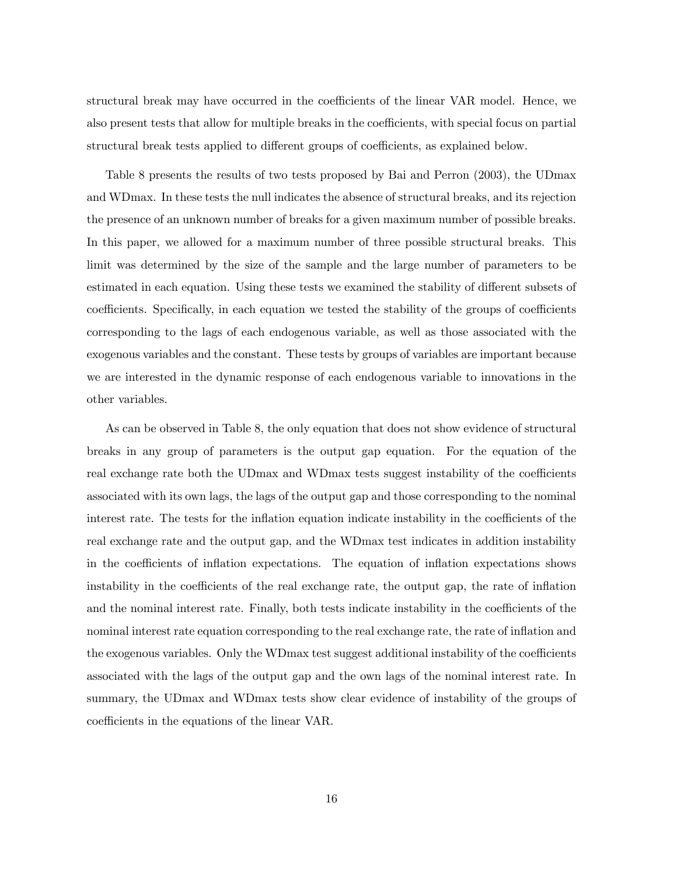structural break may have occurred in the coefficients of the linear VAR model. Hence, we also present tests that allow for multiple breaks in the coefficients, with special focus on partial structural break tests applied to different groups of coefficients, as explained below.

Table 8 presents the results of two tests proposed by Bai and Perron (2003), the UDmax and WDmax. In these tests the null indicates the absence of structural breaks, and its rejection the presence of an unknown number of breaks for a given maximum number of possible breaks. In this paper, we allowed for a maximum number of three possible structural breaks. This limit was determined by the size of the sample and the large number of parameters to be estimated in each equation. Using these tests we examined the stability of different subsets of coefficients. Specifically, in each equation we tested the stability of the groups of coefficients corresponding to the lags of each endogenous variable, as well as those associated with the exogenous variables and the constant. These tests by groups of variables are important because we are interested in the dynamic response of each endogenous variable to innovations in the other variables.

As can be observed in Table 8, the only equation that does not show evidence of structural breaks in any group of parameters is the output gap equation. For the equation of the real exchange rate both the UDmax and WDmax tests suggest instability of the coefficients associated with its own lags, the lags of the output gap and those corresponding to the nominal interest rate. The tests for the inflation equation indicate instability in the coefficients of the real exchange rate and the output gap, and the WDmax test indicates in addition instability in the coefficients of inflation expectations. The equation of inflation expectations shows instability in the coefficients of the real exchange rate, the output gap, the rate of inflation and the nominal interest rate. Finally, both tests indicate instability in the coefficients of the nominal interest rate equation corresponding to the real exchange rate, the rate of inflation and the exogenous variables. Only the WDmax test suggest additional instability of the coefficients associated with the lags of the output gap and the own lags of the nominal interest rate. In summary, the UDmax and WDmax tests show clear evidence of instability of the groups of coefficients in the equations of the linear VAR.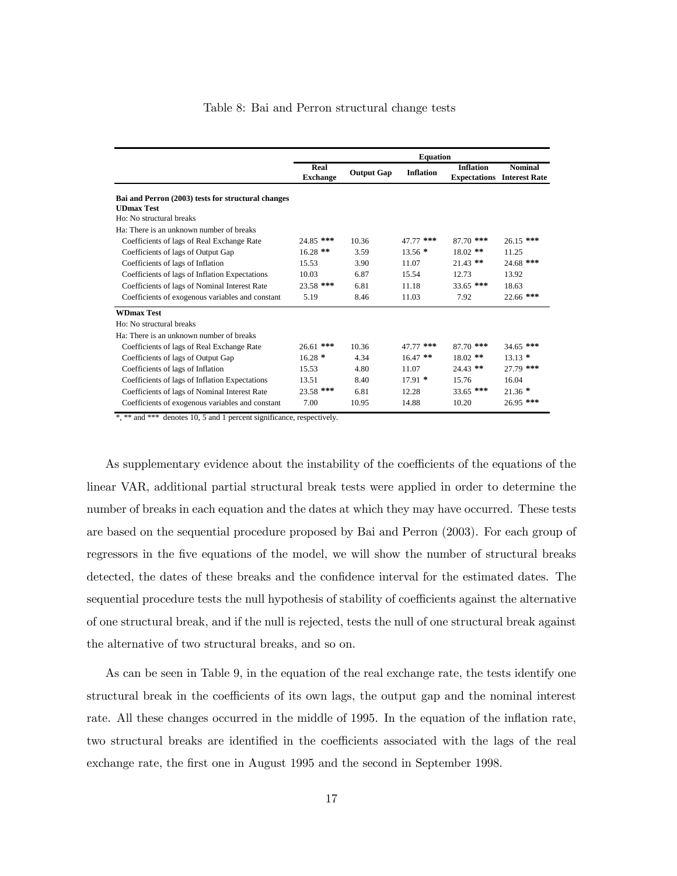|                                                    | <b>Equation</b>         |                   |                  |                  |                                                     |
|----------------------------------------------------|-------------------------|-------------------|------------------|------------------|-----------------------------------------------------|
|                                                    | Real<br><b>Exchange</b> | <b>Output Gap</b> | <b>Inflation</b> | <b>Inflation</b> | <b>Nominal</b><br><b>Expectations</b> Interest Rate |
| Bai and Perron (2003) tests for structural changes |                         |                   |                  |                  |                                                     |
| <b>UDmax Test</b>                                  |                         |                   |                  |                  |                                                     |
| Ho: No structural breaks                           |                         |                   |                  |                  |                                                     |
| Ha: There is an unknown number of breaks           |                         |                   |                  |                  |                                                     |
| Coefficients of lags of Real Exchange Rate         | 24.85 ***               | 10.36             | 47.77 ***        | $87.70$ ***      | $26.15$ ***                                         |
| Coefficients of lags of Output Gap                 | $16.28$ **              | 3.59              | $13.56*$         | $18.02$ **       | 11.25                                               |
| Coefficients of lags of Inflation                  | 15.53                   | 3.90              | 11.07            | $21.43$ **       | 24.68 ***                                           |
| Coefficients of lags of Inflation Expectations     | 10.03                   | 6.87              | 15.54            | 12.73            | 13.92                                               |
| Coefficients of lags of Nominal Interest Rate      | 23.58 ***               | 6.81              | 11.18            | $33.65$ ***      | 18.63                                               |
| Coefficients of exogenous variables and constant   | 5.19                    | 8.46              | 11.03            | 7.92             | 22.66 ***                                           |
| <b>WDmax Test</b>                                  |                         |                   |                  |                  |                                                     |
| Ho: No structural breaks                           |                         |                   |                  |                  |                                                     |
| Ha: There is an unknown number of breaks           |                         |                   |                  |                  |                                                     |
| Coefficients of lags of Real Exchange Rate         | 26.61 ***               | 10.36             | 47.77 ***        | $87.70$ ***      | $34.65$ ***                                         |
| Coefficients of lags of Output Gap                 | $16.28*$                | 4.34              | $16.47$ **       | $18.02$ **       | $13.13*$                                            |
| Coefficients of lags of Inflation                  | 15.53                   | 4.80              | 11.07            | $24.43$ **       | 27.79 ***                                           |
| Coefficients of lags of Inflation Expectations     | 13.51                   | 8.40              | $17.91*$         | 15.76            | 16.04                                               |
| Coefficients of lags of Nominal Interest Rate      | $23.58$ ***             | 6.81              | 12.28            | $33.65$ ***      | $21.36*$                                            |
| Coefficients of exogenous variables and constant   | 7.00                    | 10.95             | 14.88            | 10.20            | 26.95 ***                                           |

#### Table 8: Bai and Perron structural change tests

\*, \*\* and \*\*\* denotes 10, 5 and 1 percent significance, respectively.

As supplementary evidence about the instability of the coefficients of the equations of the linear VAR, additional partial structural break tests were applied in order to determine the number of breaks in each equation and the dates at which they may have occurred. These tests are based on the sequential procedure proposed by Bai and Perron (2003). For each group of regressors in the five equations of the model, we will show the number of structural breaks detected, the dates of these breaks and the confidence interval for the estimated dates. The sequential procedure tests the null hypothesis of stability of coefficients against the alternative of one structural break, and if the null is rejected, tests the null of one structural break against the alternative of two structural breaks, and so on.

As can be seen in Table 9, in the equation of the real exchange rate, the tests identify one structural break in the coefficients of its own lags, the output gap and the nominal interest rate. All these changes occurred in the middle of 1995. In the equation of the inflation rate, two structural breaks are identified in the coefficients associated with the lags of the real exchange rate, the first one in August 1995 and the second in September 1998.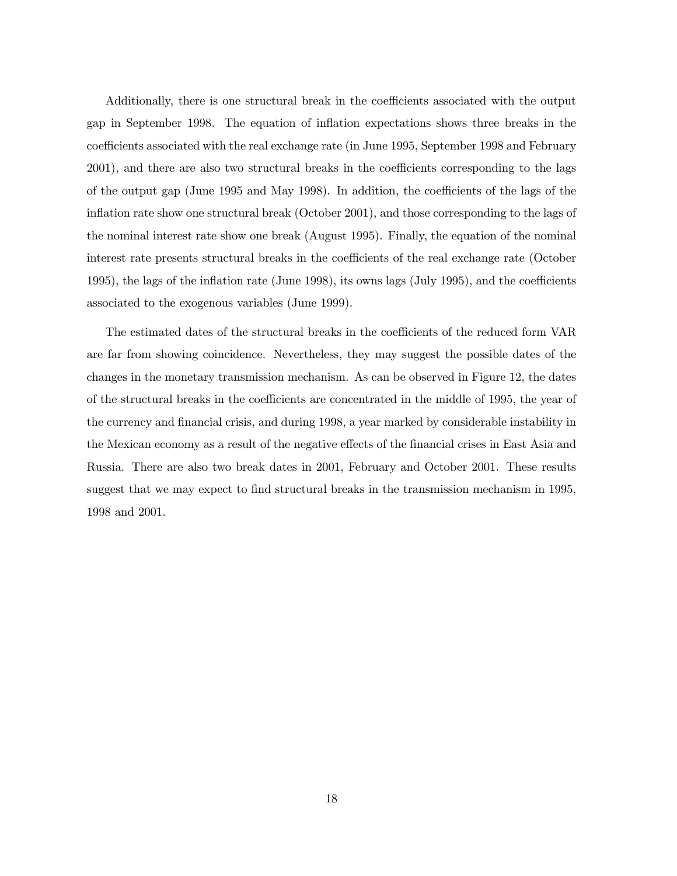Additionally, there is one structural break in the coefficients associated with the output gap in September 1998. The equation of inflation expectations shows three breaks in the coefficients associated with the real exchange rate (in June 1995, September 1998 and February 2001), and there are also two structural breaks in the coefficients corresponding to the lags of the output gap (June 1995 and May 1998). In addition, the coefficients of the lags of the inflation rate show one structural break (October 2001), and those corresponding to the lags of the nominal interest rate show one break (August 1995). Finally, the equation of the nominal interest rate presents structural breaks in the coefficients of the real exchange rate (October 1995), the lags of the inflation rate (June 1998), its owns lags (July 1995), and the coefficients associated to the exogenous variables (June 1999).

The estimated dates of the structural breaks in the coefficients of the reduced form VAR are far from showing coincidence. Nevertheless, they may suggest the possible dates of the changes in the monetary transmission mechanism. As can be observed in Figure 12, the dates of the structural breaks in the coefficients are concentrated in the middle of 1995, the year of the currency and financial crisis, and during 1998, a year marked by considerable instability in the Mexican economy as a result of the negative effects of the financial crises in East Asia and Russia. There are also two break dates in 2001, February and October 2001. These results suggest that we may expect to find structural breaks in the transmission mechanism in 1995, 1998 and 2001.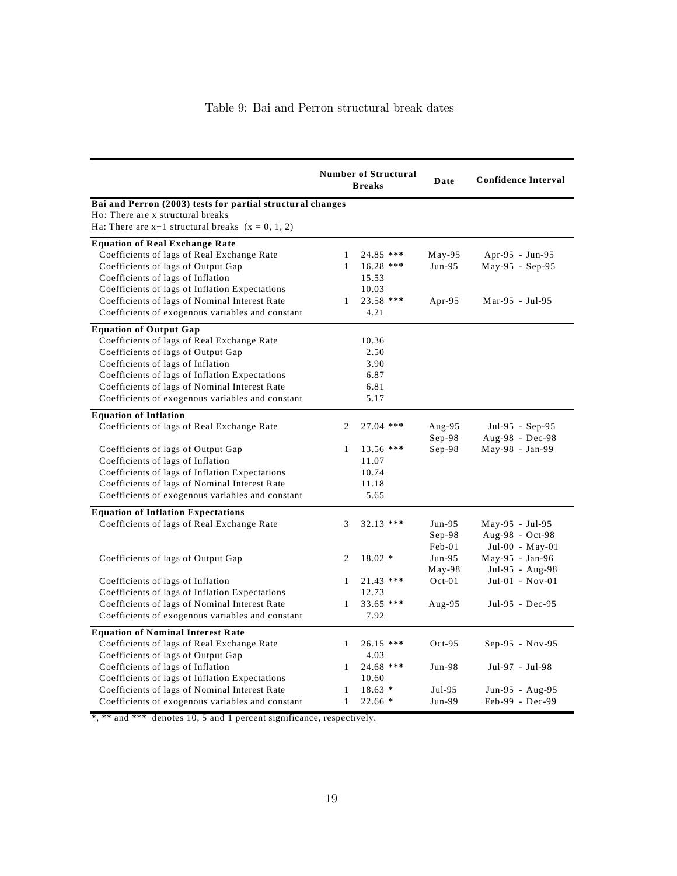|                                                            |              | <b>Number of Structural</b><br><b>Breaks</b> | Date     | <b>Confidence Interval</b> |
|------------------------------------------------------------|--------------|----------------------------------------------|----------|----------------------------|
| Bai and Perron (2003) tests for partial structural changes |              |                                              |          |                            |
| Ho: There are x structural breaks                          |              |                                              |          |                            |
| Ha: There are $x+1$ structural breaks $(x = 0, 1, 2)$      |              |                                              |          |                            |
| <b>Equation of Real Exchange Rate</b>                      |              |                                              |          |                            |
| Coefficients of lags of Real Exchange Rate                 | 1            | 24.85 ***                                    | $May-95$ | Apr-95 - Jun-95            |
| Coefficients of lags of Output Gap                         | $\mathbf{1}$ | 16.28 ***                                    | $Jun-95$ | May-95 - Sep-95            |
| Coefficients of lags of Inflation                          |              | 15.53                                        |          |                            |
| Coefficients of lags of Inflation Expectations             |              | 10.03                                        |          |                            |
| Coefficients of lags of Nominal Interest Rate              | $\mathbf{1}$ | 23.58 ***                                    | Apr-95   | Mar-95 - Jul-95            |
| Coefficients of exogenous variables and constant           |              | 4.21                                         |          |                            |
| <b>Equation of Output Gap</b>                              |              |                                              |          |                            |
| Coefficients of lags of Real Exchange Rate                 |              | 10.36                                        |          |                            |
| Coefficients of lags of Output Gap                         |              | 2.50                                         |          |                            |
| Coefficients of lags of Inflation                          |              | 3.90                                         |          |                            |
| Coefficients of lags of Inflation Expectations             |              | 6.87                                         |          |                            |
| Coefficients of lags of Nominal Interest Rate              |              | 6.81                                         |          |                            |
| Coefficients of exogenous variables and constant           |              | 5.17                                         |          |                            |
| <b>Equation of Inflation</b>                               |              |                                              |          |                            |
| Coefficients of lags of Real Exchange Rate                 | 2            | 27.04 ***                                    | Aug-95   | Jul-95 - Sep-95            |
|                                                            |              |                                              | $Sep-98$ | Aug-98 - Dec-98            |
| Coefficients of lags of Output Gap                         | $\mathbf{1}$ | 13.56 ***                                    | $Sep-98$ | May-98 - Jan-99            |
| Coefficients of lags of Inflation                          |              | 11.07                                        |          |                            |
| Coefficients of lags of Inflation Expectations             |              | 10.74                                        |          |                            |
| Coefficients of lags of Nominal Interest Rate              |              | 11.18                                        |          |                            |
| Coefficients of exogenous variables and constant           |              | 5.65                                         |          |                            |
| <b>Equation of Inflation Expectations</b>                  |              |                                              |          |                            |
| Coefficients of lags of Real Exchange Rate                 | 3            | 32.13 ***                                    | $Jun-95$ | May-95 - Jul-95            |
|                                                            |              |                                              | $Sep-98$ | Aug-98 - Oct-98            |
|                                                            |              |                                              | Feb-01   | Jul-00 - May-01            |
| Coefficients of lags of Output Gap                         | 2            | $18.02*$                                     | $Jun-95$ | $May-95 - Jan-96$          |
|                                                            |              |                                              | $May-98$ | Jul-95 - Aug-98            |
| Coefficients of lags of Inflation                          | $\mathbf{1}$ | $21.43$ ***                                  | $Oct-01$ | $Jul-01 - Nov-01$          |
| Coefficients of lags of Inflation Expectations             |              | 12.73                                        |          |                            |
| Coefficients of lags of Nominal Interest Rate              | 1            | 33.65 ***                                    | Aug-95   | Jul-95 - Dec-95            |
| Coefficients of exogenous variables and constant           |              | 7.92                                         |          |                            |
| <b>Equation of Nominal Interest Rate</b>                   |              |                                              |          |                            |
| Coefficients of lags of Real Exchange Rate                 | $\mathbf{1}$ | 26.15 ***                                    | $Oct-95$ | Sep-95 - Nov-95            |
| Coefficients of lags of Output Gap                         |              | 4.03                                         |          |                            |
| Coefficients of lags of Inflation                          | $\mathbf{1}$ | 24.68 ***                                    | $Jun-98$ | Jul-97 - Jul-98            |
| Coefficients of lags of Inflation Expectations             |              | 10.60                                        |          |                            |
| Coefficients of lags of Nominal Interest Rate              | 1            | $18.63*$                                     | Jul-95   | Jun-95 - Aug-95            |
| Coefficients of exogenous variables and constant           | $\mathbf{1}$ | $22.66*$                                     | Jun-99   | Feb-99 - Dec-99            |

\*, \*\* and \*\*\* denotes 10, 5 and 1 percent significance, respectively.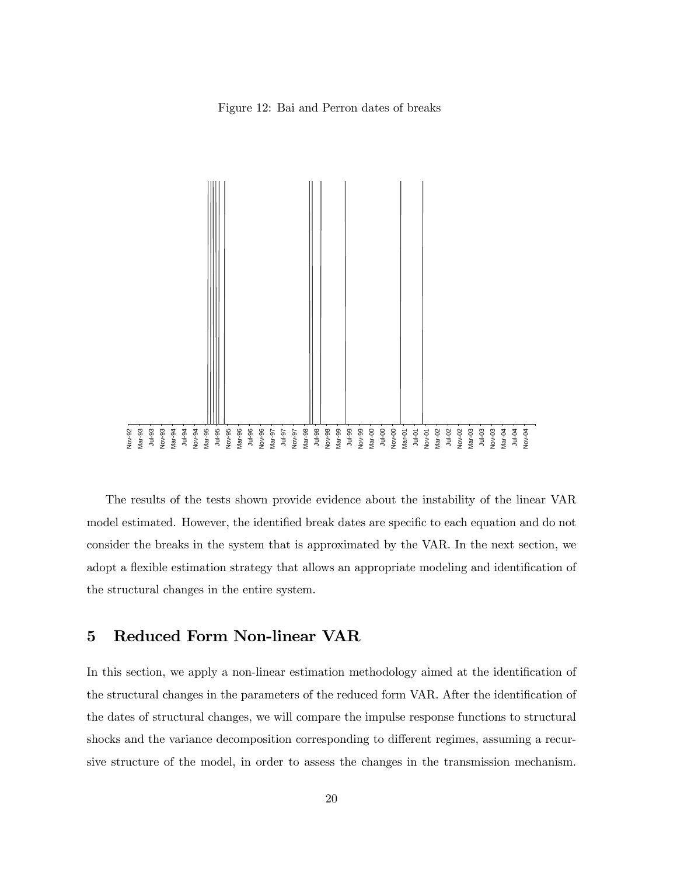Figure 12: Bai and Perron dates of breaks



The results of the tests shown provide evidence about the instability of the linear VAR model estimated. However, the identified break dates are specific to each equation and do not consider the breaks in the system that is approximated by the VAR. In the next section, we adopt a flexible estimation strategy that allows an appropriate modeling and identification of the structural changes in the entire system.

### 5 Reduced Form Non-linear VAR

In this section, we apply a non-linear estimation methodology aimed at the identification of the structural changes in the parameters of the reduced form VAR. After the identification of the dates of structural changes, we will compare the impulse response functions to structural shocks and the variance decomposition corresponding to different regimes, assuming a recursive structure of the model, in order to assess the changes in the transmission mechanism.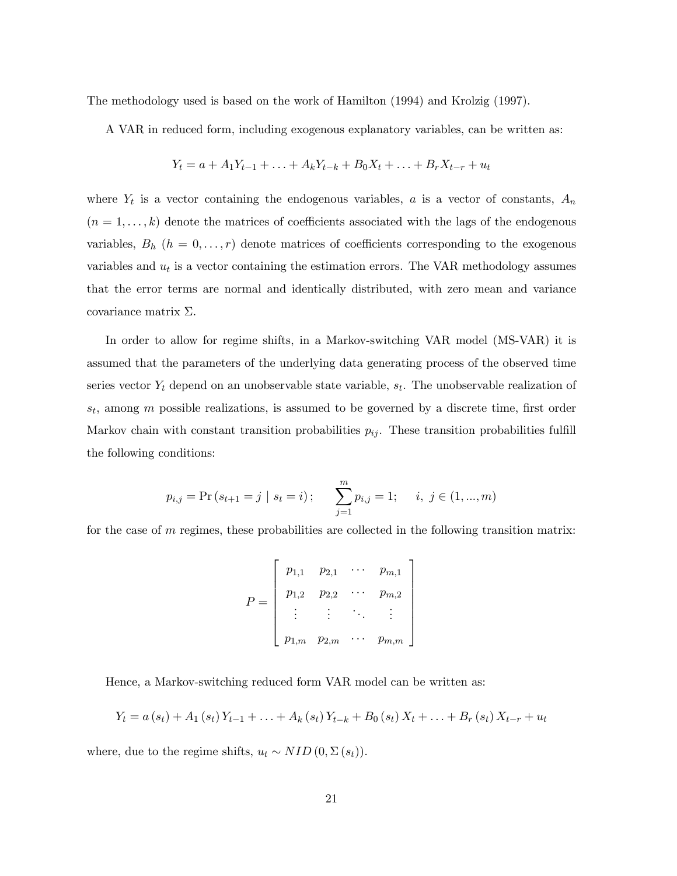The methodology used is based on the work of Hamilton (1994) and Krolzig (1997).

A VAR in reduced form, including exogenous explanatory variables, can be written as:

$$
Y_t = a + A_1 Y_{t-1} + \ldots + A_k Y_{t-k} + B_0 X_t + \ldots + B_r X_{t-r} + u_t
$$

where  $Y_t$  is a vector containing the endogenous variables, a is a vector of constants,  $A_n$  $(n = 1, \ldots, k)$  denote the matrices of coefficients associated with the lags of the endogenous variables,  $B_h$   $(h = 0, \ldots, r)$  denote matrices of coefficients corresponding to the exogenous variables and  $u_t$  is a vector containing the estimation errors. The VAR methodology assumes that the error terms are normal and identically distributed, with zero mean and variance covariance matrix Σ.

In order to allow for regime shifts, in a Markov-switching VAR model (MS-VAR) it is assumed that the parameters of the underlying data generating process of the observed time series vector  $Y_t$  depend on an unobservable state variable,  $s_t$ . The unobservable realization of  $s_t$ , among m possible realizations, is assumed to be governed by a discrete time, first order Markov chain with constant transition probabilities  $p_{ij}$ . These transition probabilities fulfill the following conditions:

$$
p_{i,j} = Pr(s_{t+1} = j | s_t = i);
$$
 
$$
\sum_{j=1}^{m} p_{i,j} = 1; \quad i, j \in (1, ..., m)
$$

for the case of  $m$  regimes, these probabilities are collected in the following transition matrix:

$$
P = \left[ \begin{array}{cccc} p_{1,1} & p_{2,1} & \cdots & p_{m,1} \\ p_{1,2} & p_{2,2} & \cdots & p_{m,2} \\ \vdots & \vdots & \ddots & \vdots \\ p_{1,m} & p_{2,m} & \cdots & p_{m,m} \end{array} \right]
$$

Hence, a Markov-switching reduced form VAR model can be written as:

$$
Y_{t} = a(s_{t}) + A_{1}(s_{t})Y_{t-1} + \ldots + A_{k}(s_{t})Y_{t-k} + B_{0}(s_{t})X_{t} + \ldots + B_{r}(s_{t})X_{t-r} + u_{t}
$$

where, due to the regime shifts,  $u_t \sim NID(0, \Sigma(s_t)).$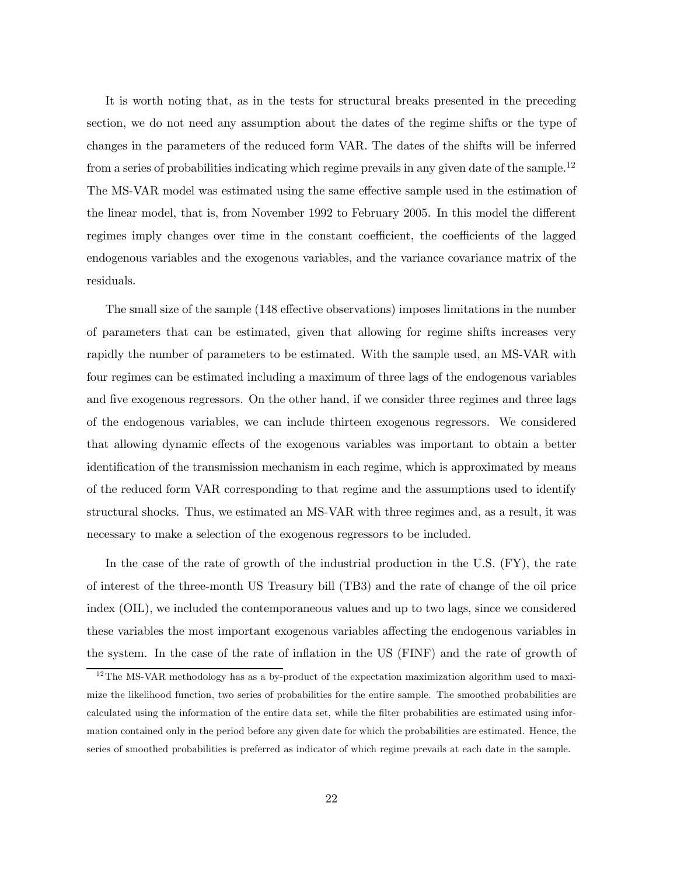It is worth noting that, as in the tests for structural breaks presented in the preceding section, we do not need any assumption about the dates of the regime shifts or the type of changes in the parameters of the reduced form VAR. The dates of the shifts will be inferred from a series of probabilities indicating which regime prevails in any given date of the sample.<sup>12</sup> The MS-VAR model was estimated using the same effective sample used in the estimation of the linear model, that is, from November 1992 to February 2005. In this model the different regimes imply changes over time in the constant coefficient, the coefficients of the lagged endogenous variables and the exogenous variables, and the variance covariance matrix of the residuals.

The small size of the sample (148 effective observations) imposes limitations in the number of parameters that can be estimated, given that allowing for regime shifts increases very rapidly the number of parameters to be estimated. With the sample used, an MS-VAR with four regimes can be estimated including a maximum of three lags of the endogenous variables and five exogenous regressors. On the other hand, if we consider three regimes and three lags of the endogenous variables, we can include thirteen exogenous regressors. We considered that allowing dynamic effects of the exogenous variables was important to obtain a better identification of the transmission mechanism in each regime, which is approximated by means of the reduced form VAR corresponding to that regime and the assumptions used to identify structural shocks. Thus, we estimated an MS-VAR with three regimes and, as a result, it was necessary to make a selection of the exogenous regressors to be included.

In the case of the rate of growth of the industrial production in the U.S. (FY), the rate of interest of the three-month US Treasury bill (TB3) and the rate of change of the oil price index (OIL), we included the contemporaneous values and up to two lags, since we considered these variables the most important exogenous variables affecting the endogenous variables in the system. In the case of the rate of inflation in the US (FINF) and the rate of growth of

 $12$ The MS-VAR methodology has as a by-product of the expectation maximization algorithm used to maximize the likelihood function, two series of probabilities for the entire sample. The smoothed probabilities are calculated using the information of the entire data set, while the filter probabilities are estimated using information contained only in the period before any given date for which the probabilities are estimated. Hence, the series of smoothed probabilities is preferred as indicator of which regime prevails at each date in the sample.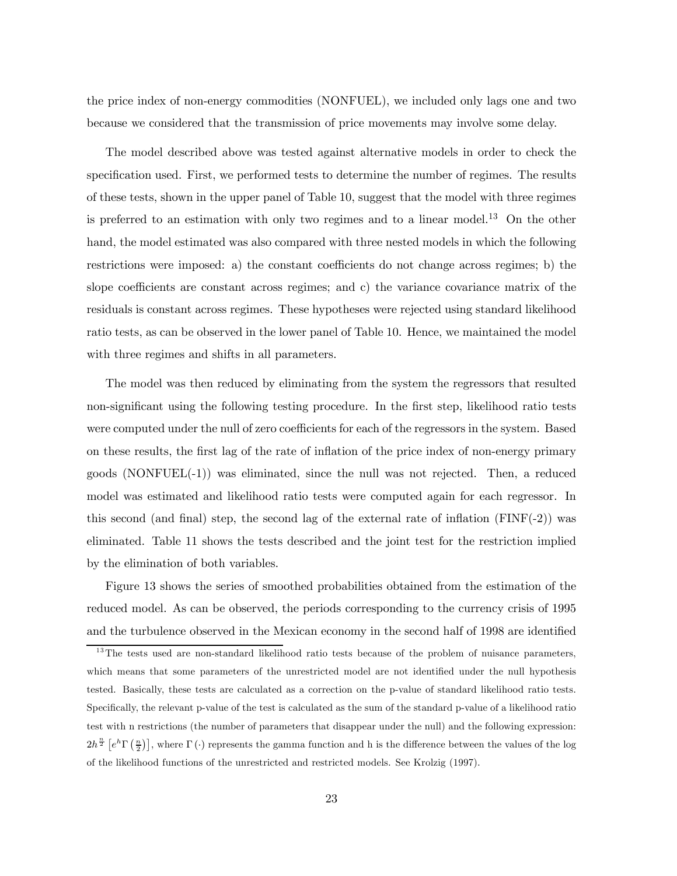the price index of non-energy commodities (NONFUEL), we included only lags one and two because we considered that the transmission of price movements may involve some delay.

The model described above was tested against alternative models in order to check the specification used. First, we performed tests to determine the number of regimes. The results of these tests, shown in the upper panel of Table 10, suggest that the model with three regimes is preferred to an estimation with only two regimes and to a linear model.<sup>13</sup> On the other hand, the model estimated was also compared with three nested models in which the following restrictions were imposed: a) the constant coefficients do not change across regimes; b) the slope coefficients are constant across regimes; and c) the variance covariance matrix of the residuals is constant across regimes. These hypotheses were rejected using standard likelihood ratio tests, as can be observed in the lower panel of Table 10. Hence, we maintained the model with three regimes and shifts in all parameters.

The model was then reduced by eliminating from the system the regressors that resulted non-significant using the following testing procedure. In the first step, likelihood ratio tests were computed under the null of zero coefficients for each of the regressors in the system. Based on these results, the first lag of the rate of inflation of the price index of non-energy primary goods  $(NONFUEL(-1))$  was eliminated, since the null was not rejected. Then, a reduced model was estimated and likelihood ratio tests were computed again for each regressor. In this second (and final) step, the second lag of the external rate of inflation  $(FINF(-2))$  was eliminated. Table 11 shows the tests described and the joint test for the restriction implied by the elimination of both variables.

Figure 13 shows the series of smoothed probabilities obtained from the estimation of the reduced model. As can be observed, the periods corresponding to the currency crisis of 1995 and the turbulence observed in the Mexican economy in the second half of 1998 are identified

<sup>&</sup>lt;sup>13</sup>The tests used are non-standard likelihood ratio tests because of the problem of nuisance parameters, which means that some parameters of the unrestricted model are not identified under the null hypothesis tested. Basically, these tests are calculated as a correction on the p-value of standard likelihood ratio tests. Specifically, the relevant p-value of the test is calculated as the sum of the standard p-value of a likelihood ratio test with n restrictions (the number of parameters that disappear under the null) and the following expression:  $2h^{\frac{n}{2}}\left[e^h\Gamma\left(\frac{n}{2}\right)\right]$ , where  $\Gamma\left(\cdot\right)$  represents the gamma function and h is the difference between the values of the log of the likelihood functions of the unrestricted and restricted models. See Krolzig (1997).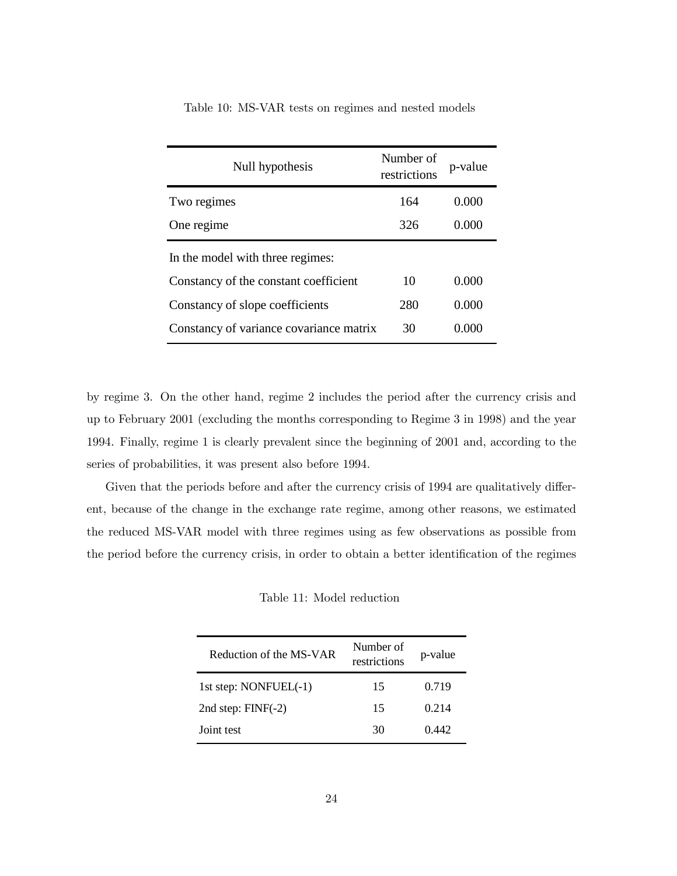| Null hypothesis                         | Number of<br>restrictions | p-value |
|-----------------------------------------|---------------------------|---------|
| Two regimes                             | 164                       | 0.000   |
| One regime                              | 326                       | 0.000   |
| In the model with three regimes:        |                           |         |
| Constancy of the constant coefficient   | 10                        | 0.000   |
| Constancy of slope coefficients         | 280                       | 0.000   |
| Constancy of variance covariance matrix | 30                        | 0.000   |

Table 10: MS-VAR tests on regimes and nested models

by regime 3. On the other hand, regime 2 includes the period after the currency crisis and up to February 2001 (excluding the months corresponding to Regime 3 in 1998) and the year 1994. Finally, regime 1 is clearly prevalent since the beginning of 2001 and, according to the series of probabilities, it was present also before 1994.

Given that the periods before and after the currency crisis of 1994 are qualitatively different, because of the change in the exchange rate regime, among other reasons, we estimated the reduced MS-VAR model with three regimes using as few observations as possible from the period before the currency crisis, in order to obtain a better identification of the regimes

Table 11: Model reduction

| Reduction of the MS-VAR | Number of<br>restrictions | p-value |
|-------------------------|---------------------------|---------|
|                         |                           |         |
| 1st step: $NONFUEL(-1)$ | 15                        | 0.719   |
| 2nd step: $FINF(-2)$    | 15                        | 0.214   |
| Joint test              | 30                        | 0.442   |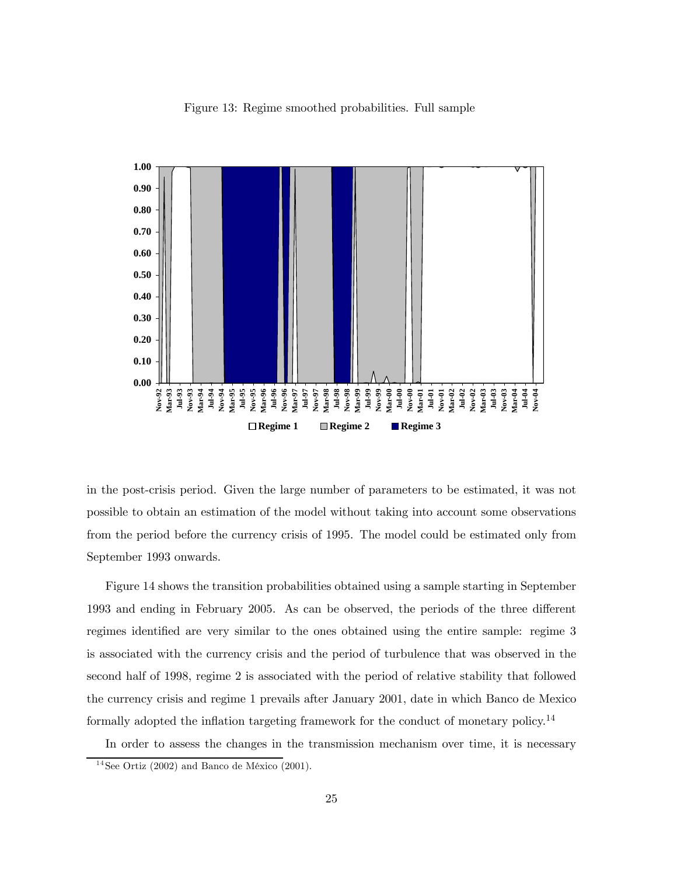



in the post-crisis period. Given the large number of parameters to be estimated, it was not possible to obtain an estimation of the model without taking into account some observations from the period before the currency crisis of 1995. The model could be estimated only from September 1993 onwards.

Figure 14 shows the transition probabilities obtained using a sample starting in September 1993 and ending in February 2005. As can be observed, the periods of the three different regimes identified are very similar to the ones obtained using the entire sample: regime 3 is associated with the currency crisis and the period of turbulence that was observed in the second half of 1998, regime 2 is associated with the period of relative stability that followed the currency crisis and regime 1 prevails after January 2001, date in which Banco de Mexico formally adopted the inflation targeting framework for the conduct of monetary policy.<sup>14</sup>

In order to assess the changes in the transmission mechanism over time, it is necessary

 $14$ See Ortiz (2002) and Banco de México (2001).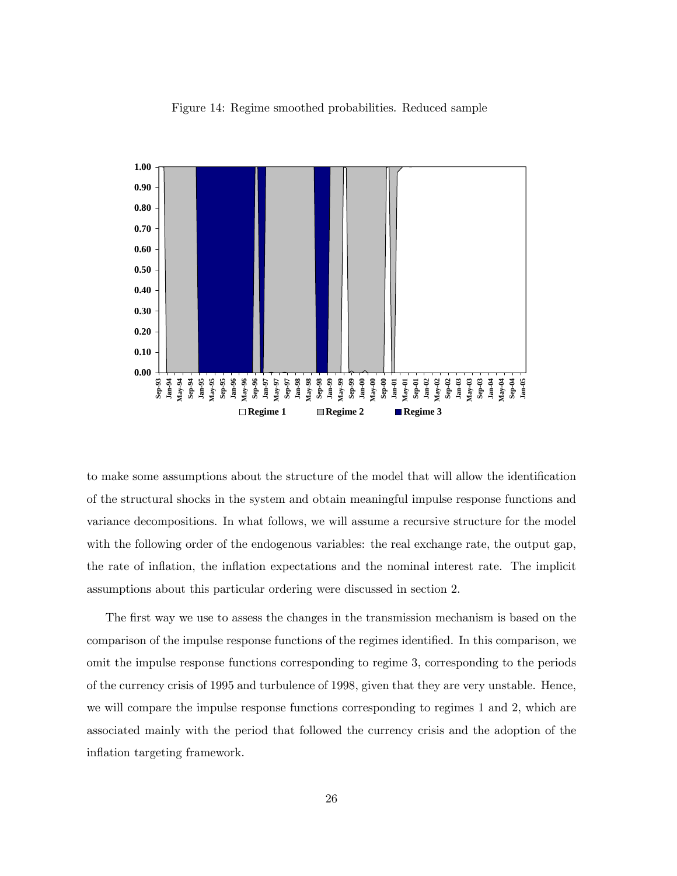

Figure 14: Regime smoothed probabilities. Reduced sample

to make some assumptions about the structure of the model that will allow the identification of the structural shocks in the system and obtain meaningful impulse response functions and variance decompositions. In what follows, we will assume a recursive structure for the model with the following order of the endogenous variables: the real exchange rate, the output gap, the rate of inflation, the inflation expectations and the nominal interest rate. The implicit assumptions about this particular ordering were discussed in section 2.

The first way we use to assess the changes in the transmission mechanism is based on the comparison of the impulse response functions of the regimes identified. In this comparison, we omit the impulse response functions corresponding to regime 3, corresponding to the periods of the currency crisis of 1995 and turbulence of 1998, given that they are very unstable. Hence, we will compare the impulse response functions corresponding to regimes 1 and 2, which are associated mainly with the period that followed the currency crisis and the adoption of the inflation targeting framework.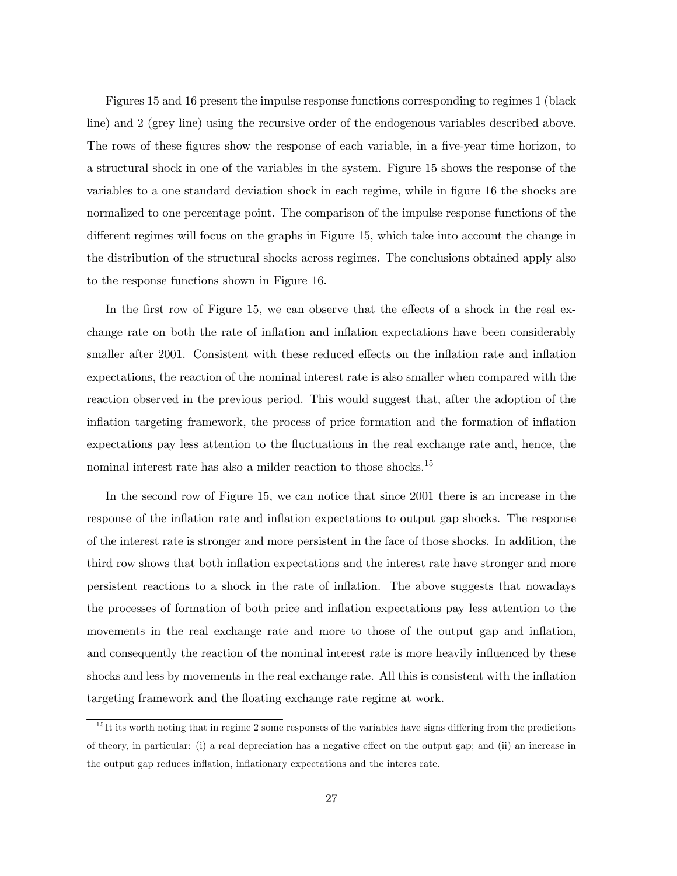Figures 15 and 16 present the impulse response functions corresponding to regimes 1 (black line) and 2 (grey line) using the recursive order of the endogenous variables described above. The rows of these figures show the response of each variable, in a five-year time horizon, to a structural shock in one of the variables in the system. Figure 15 shows the response of the variables to a one standard deviation shock in each regime, while in figure 16 the shocks are normalized to one percentage point. The comparison of the impulse response functions of the different regimes will focus on the graphs in Figure 15, which take into account the change in the distribution of the structural shocks across regimes. The conclusions obtained apply also to the response functions shown in Figure 16.

In the first row of Figure 15, we can observe that the effects of a shock in the real exchange rate on both the rate of inflation and inflation expectations have been considerably smaller after 2001. Consistent with these reduced effects on the inflation rate and inflation expectations, the reaction of the nominal interest rate is also smaller when compared with the reaction observed in the previous period. This would suggest that, after the adoption of the inflation targeting framework, the process of price formation and the formation of inflation expectations pay less attention to the fluctuations in the real exchange rate and, hence, the nominal interest rate has also a milder reaction to those shocks.<sup>15</sup>

In the second row of Figure 15, we can notice that since 2001 there is an increase in the response of the inflation rate and inflation expectations to output gap shocks. The response of the interest rate is stronger and more persistent in the face of those shocks. In addition, the third row shows that both inflation expectations and the interest rate have stronger and more persistent reactions to a shock in the rate of inflation. The above suggests that nowadays the processes of formation of both price and inflation expectations pay less attention to the movements in the real exchange rate and more to those of the output gap and inflation, and consequently the reaction of the nominal interest rate is more heavily influenced by these shocks and less by movements in the real exchange rate. All this is consistent with the inflation targeting framework and the floating exchange rate regime at work.

 $15$ It its worth noting that in regime 2 some responses of the variables have signs differing from the predictions of theory, in particular: (i) a real depreciation has a negative effect on the output gap; and (ii) an increase in the output gap reduces inflation, inflationary expectations and the interes rate.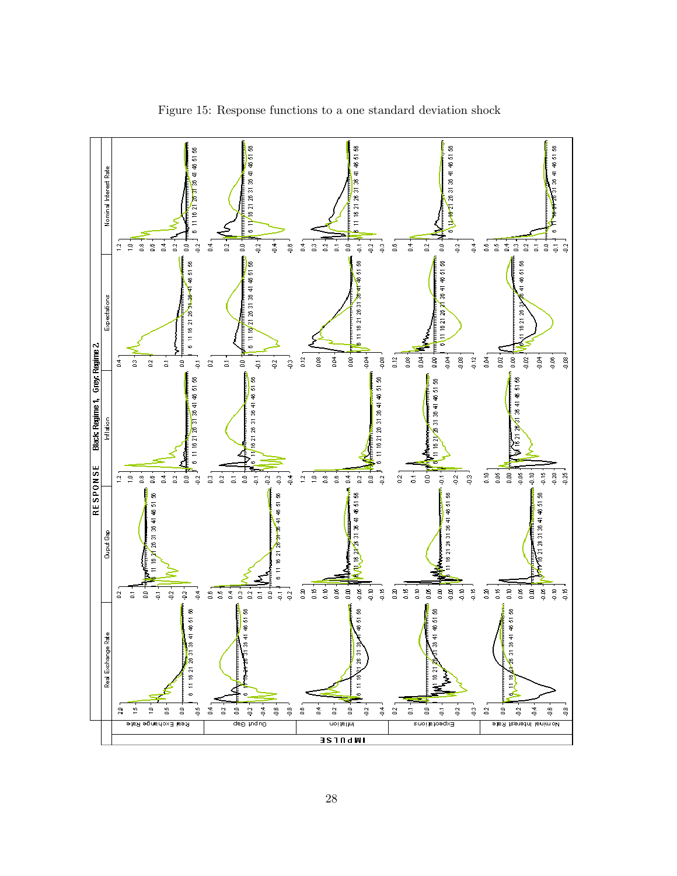

Figure 15: Response functions to a one standard deviation shock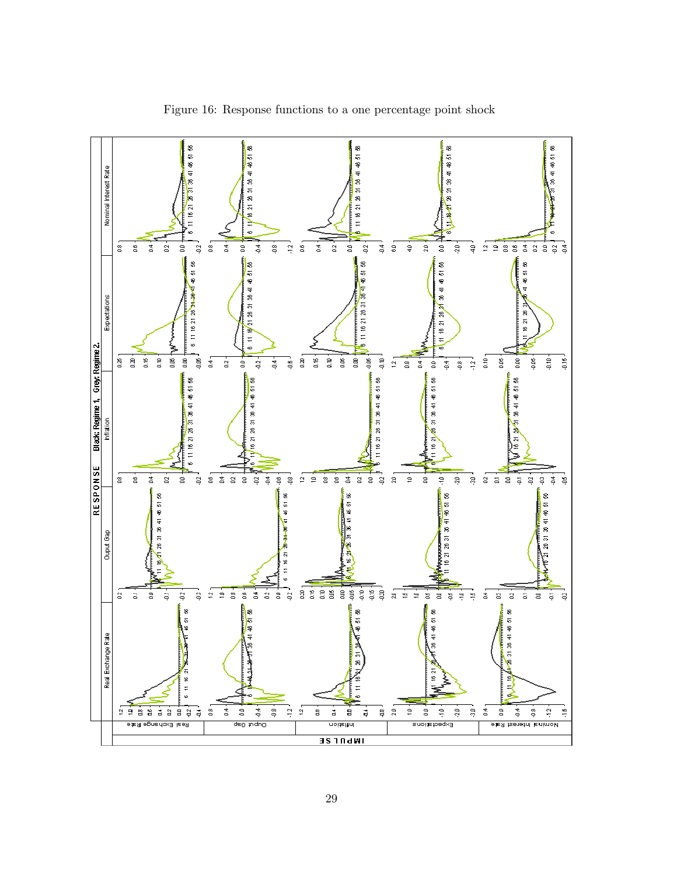

Figure 16: Response functions to a one percentage point shock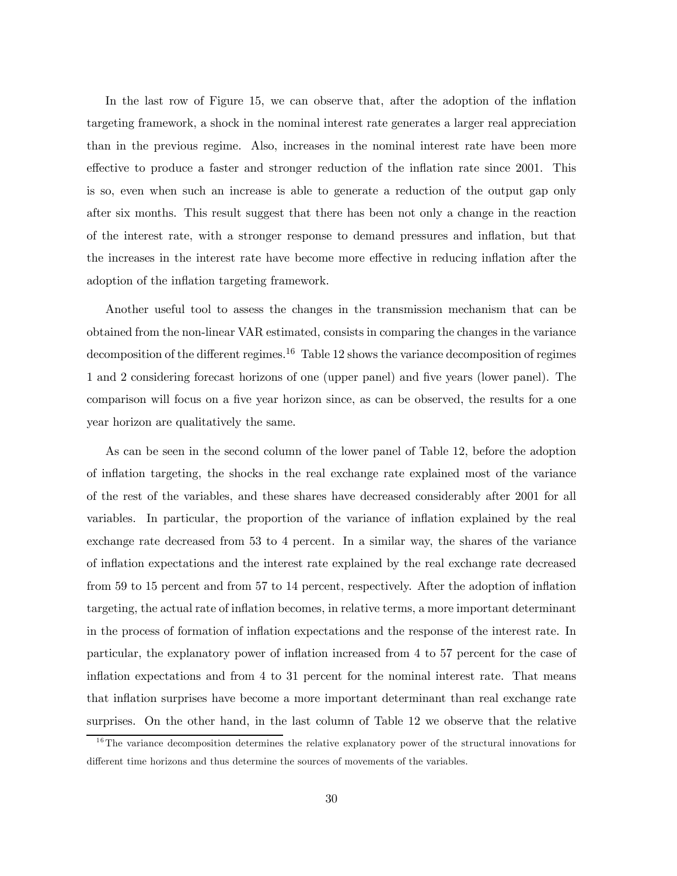In the last row of Figure 15, we can observe that, after the adoption of the inflation targeting framework, a shock in the nominal interest rate generates a larger real appreciation than in the previous regime. Also, increases in the nominal interest rate have been more effective to produce a faster and stronger reduction of the inflation rate since 2001. This is so, even when such an increase is able to generate a reduction of the output gap only after six months. This result suggest that there has been not only a change in the reaction of the interest rate, with a stronger response to demand pressures and inflation, but that the increases in the interest rate have become more effective in reducing inflation after the adoption of the inflation targeting framework.

Another useful tool to assess the changes in the transmission mechanism that can be obtained from the non-linear VAR estimated, consists in comparing the changes in the variance decomposition of the different regimes.<sup>16</sup> Table 12 shows the variance decomposition of regimes 1 and 2 considering forecast horizons of one (upper panel) and five years (lower panel). The comparison will focus on a five year horizon since, as can be observed, the results for a one year horizon are qualitatively the same.

As can be seen in the second column of the lower panel of Table 12, before the adoption of inflation targeting, the shocks in the real exchange rate explained most of the variance of the rest of the variables, and these shares have decreased considerably after 2001 for all variables. In particular, the proportion of the variance of inflation explained by the real exchange rate decreased from 53 to 4 percent. In a similar way, the shares of the variance of inflation expectations and the interest rate explained by the real exchange rate decreased from 59 to 15 percent and from 57 to 14 percent, respectively. After the adoption of inflation targeting, the actual rate of inflation becomes, in relative terms, a more important determinant in the process of formation of inflation expectations and the response of the interest rate. In particular, the explanatory power of inflation increased from 4 to 57 percent for the case of inflation expectations and from 4 to 31 percent for the nominal interest rate. That means that inflation surprises have become a more important determinant than real exchange rate surprises. On the other hand, in the last column of Table 12 we observe that the relative

<sup>&</sup>lt;sup>16</sup>The variance decomposition determines the relative explanatory power of the structural innovations for different time horizons and thus determine the sources of movements of the variables.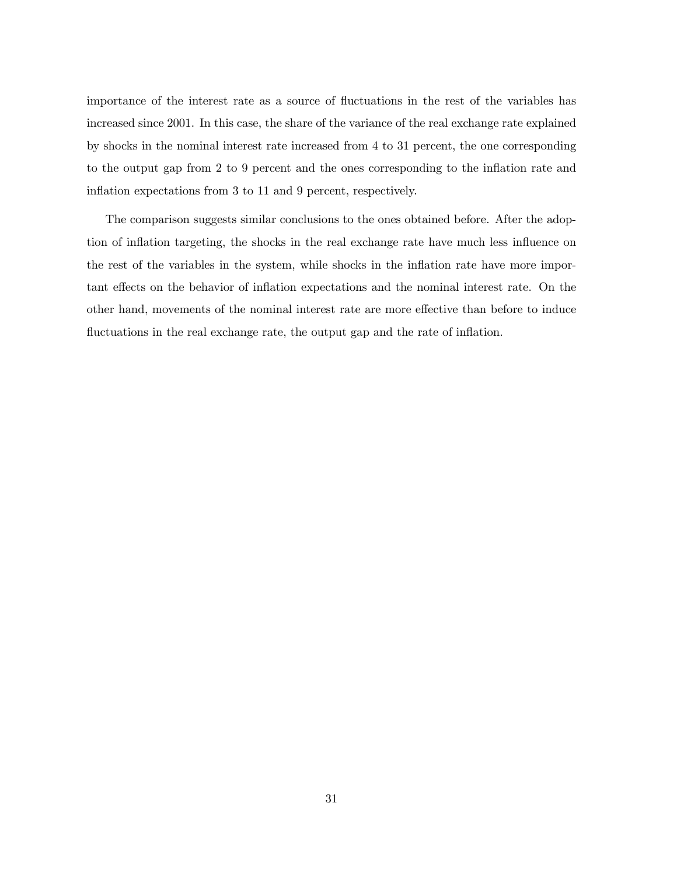importance of the interest rate as a source of fluctuations in the rest of the variables has increased since 2001. In this case, the share of the variance of the real exchange rate explained by shocks in the nominal interest rate increased from 4 to 31 percent, the one corresponding to the output gap from 2 to 9 percent and the ones corresponding to the inflation rate and inflation expectations from 3 to 11 and 9 percent, respectively.

The comparison suggests similar conclusions to the ones obtained before. After the adoption of inflation targeting, the shocks in the real exchange rate have much less influence on the rest of the variables in the system, while shocks in the inflation rate have more important effects on the behavior of inflation expectations and the nominal interest rate. On the other hand, movements of the nominal interest rate are more effective than before to induce fluctuations in the real exchange rate, the output gap and the rate of inflation.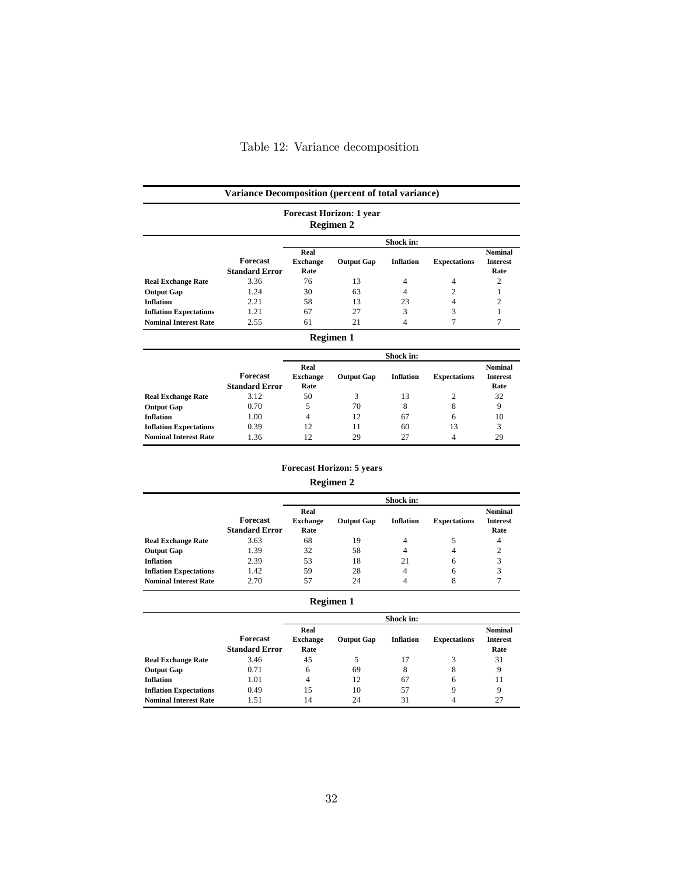| Variance Decomposition (percent of total variance)<br><b>Forecast Horizon: 1 year</b><br><b>Regimen 2</b> |                                          |                                 |                   |                  |                     |                                           |  |  |  |
|-----------------------------------------------------------------------------------------------------------|------------------------------------------|---------------------------------|-------------------|------------------|---------------------|-------------------------------------------|--|--|--|
|                                                                                                           |                                          |                                 |                   | Shock in:        |                     |                                           |  |  |  |
|                                                                                                           | <b>Forecast</b><br><b>Standard Error</b> | Real<br><b>Exchange</b><br>Rate | <b>Output Gap</b> | <b>Inflation</b> | <b>Expectations</b> | <b>Nominal</b><br><b>Interest</b><br>Rate |  |  |  |
| <b>Real Exchange Rate</b>                                                                                 | 3.36                                     | 76                              | 13                | $\overline{4}$   | 4                   | 2                                         |  |  |  |
| <b>Output Gap</b>                                                                                         | 1.24                                     | 30                              | 63                | 4                | $\mathcal{D}$       |                                           |  |  |  |
| <b>Inflation</b>                                                                                          | 2.21                                     | 58                              | 13                | 23               | 4                   | 2                                         |  |  |  |
| <b>Inflation Expectations</b>                                                                             | 1.21                                     | 67                              | 27                | 3                | 3                   |                                           |  |  |  |
| <b>Nominal Interest Rate</b>                                                                              | 2.55                                     | 61                              | 21                |                  |                     |                                           |  |  |  |
|                                                                                                           |                                          |                                 | Regimen 1         |                  |                     |                                           |  |  |  |

|                               | Shock in:                         |                                 |                   |                  |                     |                                           |  |
|-------------------------------|-----------------------------------|---------------------------------|-------------------|------------------|---------------------|-------------------------------------------|--|
|                               | Forecast<br><b>Standard Error</b> | Real<br><b>Exchange</b><br>Rate | <b>Output Gap</b> | <b>Inflation</b> | <b>Expectations</b> | <b>Nominal</b><br><b>Interest</b><br>Rate |  |
| <b>Real Exchange Rate</b>     | 3.12                              | 50                              | 3                 | 13               | 2                   | 32                                        |  |
| <b>Output Gap</b>             | 0.70                              | 5                               | 70                | 8                | 8                   | 9                                         |  |
| <b>Inflation</b>              | 1.00                              | 4                               | 12                | 67               | 6                   | 10                                        |  |
| <b>Inflation Expectations</b> | 0.39                              | 12                              | 11                | 60               | 13                  | 3                                         |  |
| <b>Nominal Interest Rate</b>  | 1.36                              | 12                              | 29                | 27               | 4                   | 29                                        |  |

#### **Forecast Horizon: 5 years**

#### **Regimen 2**

|                               |                                   | Shock in:                       |                   |                  |                     |                                           |
|-------------------------------|-----------------------------------|---------------------------------|-------------------|------------------|---------------------|-------------------------------------------|
|                               | Forecast<br><b>Standard Error</b> | Real<br><b>Exchange</b><br>Rate | <b>Output Gap</b> | <b>Inflation</b> | <b>Expectations</b> | <b>Nominal</b><br><b>Interest</b><br>Rate |
| <b>Real Exchange Rate</b>     | 3.63                              | 68                              | 19                | 4                |                     | 4                                         |
| <b>Output Gap</b>             | 1.39                              | 32                              | 58                | 4                | 4                   | $\overline{c}$                            |
| <b>Inflation</b>              | 2.39                              | 53                              | 18                | 21               | 6                   | 3                                         |
| <b>Inflation Expectations</b> | 1.42                              | 59                              | 28                | 4                | 6                   | 3                                         |
| <b>Nominal Interest Rate</b>  | 2.70                              | 57                              | 24                | 4                | 8                   | 7                                         |

| Regimen 1 |  |
|-----------|--|
|-----------|--|

|                               |                                   | Shock in:                       |                   |                  |                     |                                           |
|-------------------------------|-----------------------------------|---------------------------------|-------------------|------------------|---------------------|-------------------------------------------|
|                               | Forecast<br><b>Standard Error</b> | Real<br><b>Exchange</b><br>Rate | <b>Output Gap</b> | <b>Inflation</b> | <b>Expectations</b> | <b>Nominal</b><br><b>Interest</b><br>Rate |
| <b>Real Exchange Rate</b>     | 3.46                              | 45                              | 5                 | 17               | 3                   | 31                                        |
| <b>Output Gap</b>             | 0.71                              | 6                               | 69                | 8                | 8                   | 9                                         |
| <b>Inflation</b>              | 1.01                              | 4                               | 12                | 67               | 6                   | 11                                        |
| <b>Inflation Expectations</b> | 0.49                              | 15                              | 10                | 57               | 9                   | 9                                         |
| <b>Nominal Interest Rate</b>  | 1.51                              | 14                              | 24                | 31               |                     | 27                                        |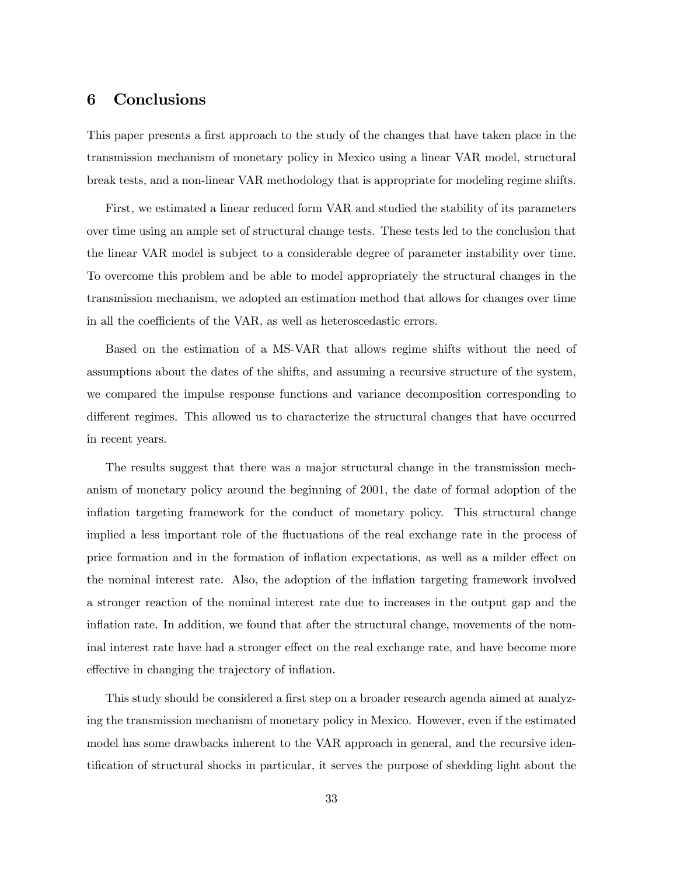### 6 Conclusions

This paper presents a first approach to the study of the changes that have taken place in the transmission mechanism of monetary policy in Mexico using a linear VAR model, structural break tests, and a non-linear VAR methodology that is appropriate for modeling regime shifts.

First, we estimated a linear reduced form VAR and studied the stability of its parameters over time using an ample set of structural change tests. These tests led to the conclusion that the linear VAR model is subject to a considerable degree of parameter instability over time. To overcome this problem and be able to model appropriately the structural changes in the transmission mechanism, we adopted an estimation method that allows for changes over time in all the coefficients of the VAR, as well as heteroscedastic errors.

Based on the estimation of a MS-VAR that allows regime shifts without the need of assumptions about the dates of the shifts, and assuming a recursive structure of the system, we compared the impulse response functions and variance decomposition corresponding to different regimes. This allowed us to characterize the structural changes that have occurred in recent years.

The results suggest that there was a major structural change in the transmission mechanism of monetary policy around the beginning of 2001, the date of formal adoption of the inflation targeting framework for the conduct of monetary policy. This structural change implied a less important role of the fluctuations of the real exchange rate in the process of price formation and in the formation of inflation expectations, as well as a milder effect on the nominal interest rate. Also, the adoption of the inflation targeting framework involved a stronger reaction of the nominal interest rate due to increases in the output gap and the inflation rate. In addition, we found that after the structural change, movements of the nominal interest rate have had a stronger effect on the real exchange rate, and have become more effective in changing the trajectory of inflation.

This study should be considered a first step on a broader research agenda aimed at analyzing the transmission mechanism of monetary policy in Mexico. However, even if the estimated model has some drawbacks inherent to the VAR approach in general, and the recursive identification of structural shocks in particular, it serves the purpose of shedding light about the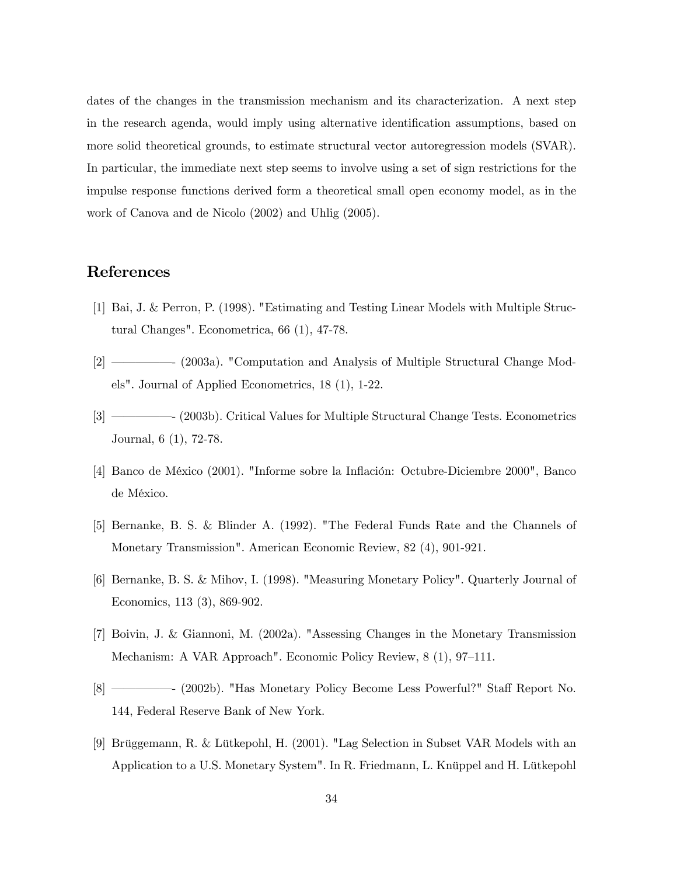dates of the changes in the transmission mechanism and its characterization. A next step in the research agenda, would imply using alternative identification assumptions, based on more solid theoretical grounds, to estimate structural vector autoregression models (SVAR). In particular, the immediate next step seems to involve using a set of sign restrictions for the impulse response functions derived form a theoretical small open economy model, as in the work of Canova and de Nicolo (2002) and Uhlig (2005).

### References

- [1] Bai, J. & Perron, P. (1998). "Estimating and Testing Linear Models with Multiple Structural Changes". Econometrica, 66 (1), 47-78.
- [2] –––––- (2003a). "Computation and Analysis of Multiple Structural Change Models". Journal of Applied Econometrics, 18 (1), 1-22.
- [3] –––––- (2003b). Critical Values for Multiple Structural Change Tests. Econometrics Journal, 6 (1), 72-78.
- [4] Banco de México (2001). "Informe sobre la Inflación: Octubre-Diciembre 2000", Banco de México.
- [5] Bernanke, B. S. & Blinder A. (1992). "The Federal Funds Rate and the Channels of Monetary Transmission". American Economic Review, 82 (4), 901-921.
- [6] Bernanke, B. S. & Mihov, I. (1998). "Measuring Monetary Policy". Quarterly Journal of Economics, 113 (3), 869-902.
- [7] Boivin, J. & Giannoni, M. (2002a). "Assessing Changes in the Monetary Transmission Mechanism: A VAR Approach". Economic Policy Review, 8 (1), 97—111.
- [8] –––––- (2002b). "Has Monetary Policy Become Less Powerful?" Staff Report No. 144, Federal Reserve Bank of New York.
- [9] Brüggemann, R. & Lütkepohl, H. (2001). "Lag Selection in Subset VAR Models with an Application to a U.S. Monetary System". In R. Friedmann, L. Knüppel and H. Lütkepohl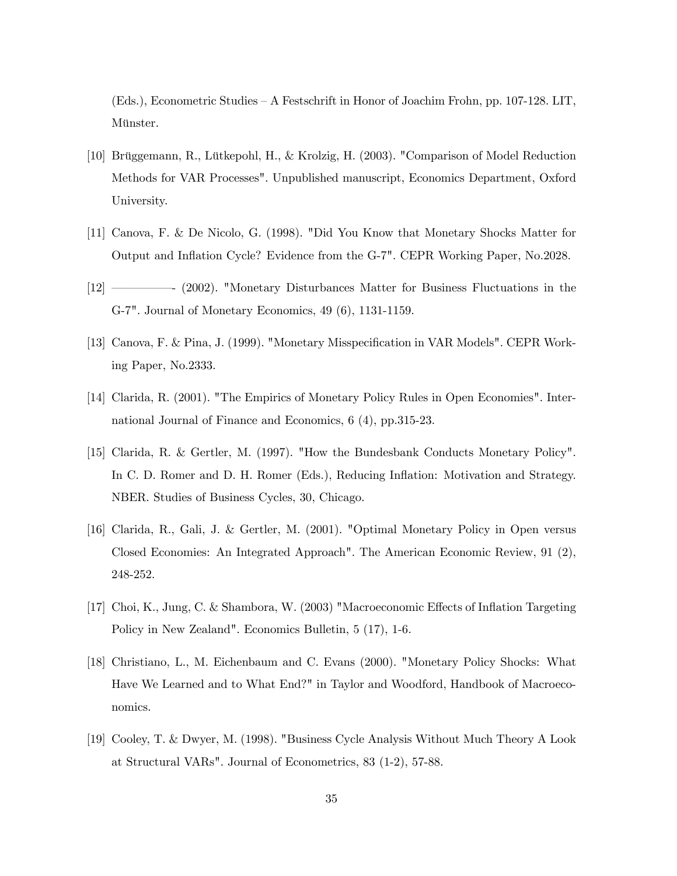(Eds.), Econometric Studies — A Festschrift in Honor of Joachim Frohn, pp. 107-128. LIT, Münster.

- [10] Brüggemann, R., Lütkepohl, H., & Krolzig, H. (2003). "Comparison of Model Reduction Methods for VAR Processes". Unpublished manuscript, Economics Department, Oxford University.
- [11] Canova, F. & De Nicolo, G. (1998). "Did You Know that Monetary Shocks Matter for Output and Inflation Cycle? Evidence from the G-7". CEPR Working Paper, No.2028.
- [12] –––––- (2002). "Monetary Disturbances Matter for Business Fluctuations in the G-7". Journal of Monetary Economics, 49 (6), 1131-1159.
- [13] Canova, F. & Pina, J. (1999). "Monetary Misspecification in VAR Models". CEPR Working Paper, No.2333.
- [14] Clarida, R. (2001). "The Empirics of Monetary Policy Rules in Open Economies". International Journal of Finance and Economics, 6 (4), pp.315-23.
- [15] Clarida, R. & Gertler, M. (1997). "How the Bundesbank Conducts Monetary Policy". In C. D. Romer and D. H. Romer (Eds.), Reducing Inflation: Motivation and Strategy. NBER. Studies of Business Cycles, 30, Chicago.
- [16] Clarida, R., Gali, J. & Gertler, M. (2001). "Optimal Monetary Policy in Open versus Closed Economies: An Integrated Approach". The American Economic Review, 91 (2), 248-252.
- [17] Choi, K., Jung, C. & Shambora, W. (2003) "Macroeconomic Effects of Inflation Targeting Policy in New Zealand". Economics Bulletin, 5 (17), 1-6.
- [18] Christiano, L., M. Eichenbaum and C. Evans (2000). "Monetary Policy Shocks: What Have We Learned and to What End?" in Taylor and Woodford, Handbook of Macroeconomics.
- [19] Cooley, T. & Dwyer, M. (1998). "Business Cycle Analysis Without Much Theory A Look at Structural VARs". Journal of Econometrics, 83 (1-2), 57-88.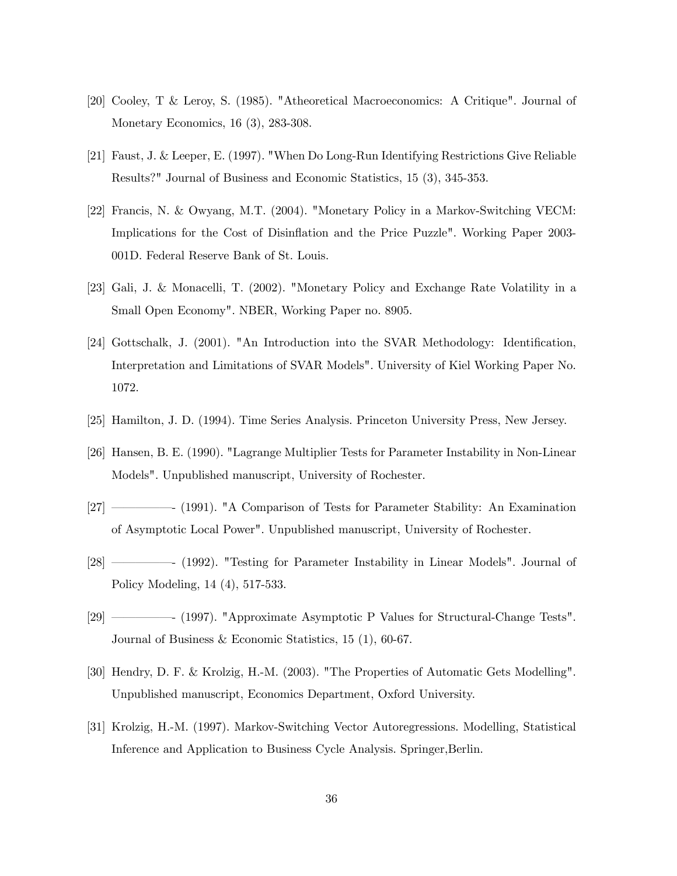- [20] Cooley, T & Leroy, S. (1985). "Atheoretical Macroeconomics: A Critique". Journal of Monetary Economics, 16 (3), 283-308.
- [21] Faust, J. & Leeper, E. (1997). "When Do Long-Run Identifying Restrictions Give Reliable Results?" Journal of Business and Economic Statistics, 15 (3), 345-353.
- [22] Francis, N. & Owyang, M.T. (2004). "Monetary Policy in a Markov-Switching VECM: Implications for the Cost of Disinflation and the Price Puzzle". Working Paper 2003- 001D. Federal Reserve Bank of St. Louis.
- [23] Gali, J. & Monacelli, T. (2002). "Monetary Policy and Exchange Rate Volatility in a Small Open Economy". NBER, Working Paper no. 8905.
- [24] Gottschalk, J. (2001). "An Introduction into the SVAR Methodology: Identification, Interpretation and Limitations of SVAR Models". University of Kiel Working Paper No. 1072.
- [25] Hamilton, J. D. (1994). Time Series Analysis. Princeton University Press, New Jersey.
- [26] Hansen, B. E. (1990). "Lagrange Multiplier Tests for Parameter Instability in Non-Linear Models". Unpublished manuscript, University of Rochester.
- [27] –––––- (1991). "A Comparison of Tests for Parameter Stability: An Examination of Asymptotic Local Power". Unpublished manuscript, University of Rochester.
- [28] –––––- (1992). "Testing for Parameter Instability in Linear Models". Journal of Policy Modeling, 14 (4), 517-533.
- [29] –––––- (1997). "Approximate Asymptotic P Values for Structural-Change Tests". Journal of Business & Economic Statistics, 15 (1), 60-67.
- [30] Hendry, D. F. & Krolzig, H.-M. (2003). "The Properties of Automatic Gets Modelling". Unpublished manuscript, Economics Department, Oxford University.
- [31] Krolzig, H.-M. (1997). Markov-Switching Vector Autoregressions. Modelling, Statistical Inference and Application to Business Cycle Analysis. Springer,Berlin.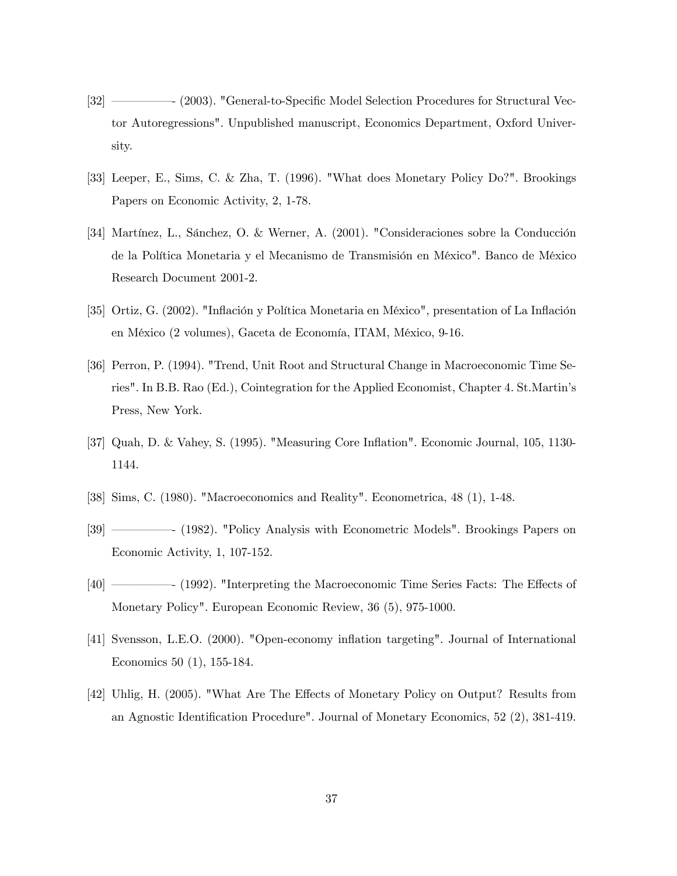- [32] –––––- (2003). "General-to-Specific Model Selection Procedures for Structural Vector Autoregressions". Unpublished manuscript, Economics Department, Oxford University.
- [33] Leeper, E., Sims, C. & Zha, T. (1996). "What does Monetary Policy Do?". Brookings Papers on Economic Activity, 2, 1-78.
- [34] Martínez, L., Sánchez, O. & Werner, A. (2001). "Consideraciones sobre la Conducción de la Política Monetaria y el Mecanismo de Transmisión en México". Banco de México Research Document 2001-2.
- [35] Ortiz, G. (2002). "Inflación y Política Monetaria en México", presentation of La Inflación en México (2 volumes), Gaceta de Economía, ITAM, México, 9-16.
- [36] Perron, P. (1994). "Trend, Unit Root and Structural Change in Macroeconomic Time Series". In B.B. Rao (Ed.), Cointegration for the Applied Economist, Chapter 4. St.Martin's Press, New York.
- [37] Quah, D. & Vahey, S. (1995). "Measuring Core Inflation". Economic Journal, 105, 1130- 1144.
- [38] Sims, C. (1980). "Macroeconomics and Reality". Econometrica, 48 (1), 1-48.
- [39] –––––- (1982). "Policy Analysis with Econometric Models". Brookings Papers on Economic Activity, 1, 107-152.
- [40] –––––- (1992). "Interpreting the Macroeconomic Time Series Facts: The Effects of Monetary Policy". European Economic Review, 36 (5), 975-1000.
- [41] Svensson, L.E.O. (2000). "Open-economy inflation targeting". Journal of International Economics 50 (1), 155-184.
- [42] Uhlig, H. (2005). "What Are The Effects of Monetary Policy on Output? Results from an Agnostic Identification Procedure". Journal of Monetary Economics, 52 (2), 381-419.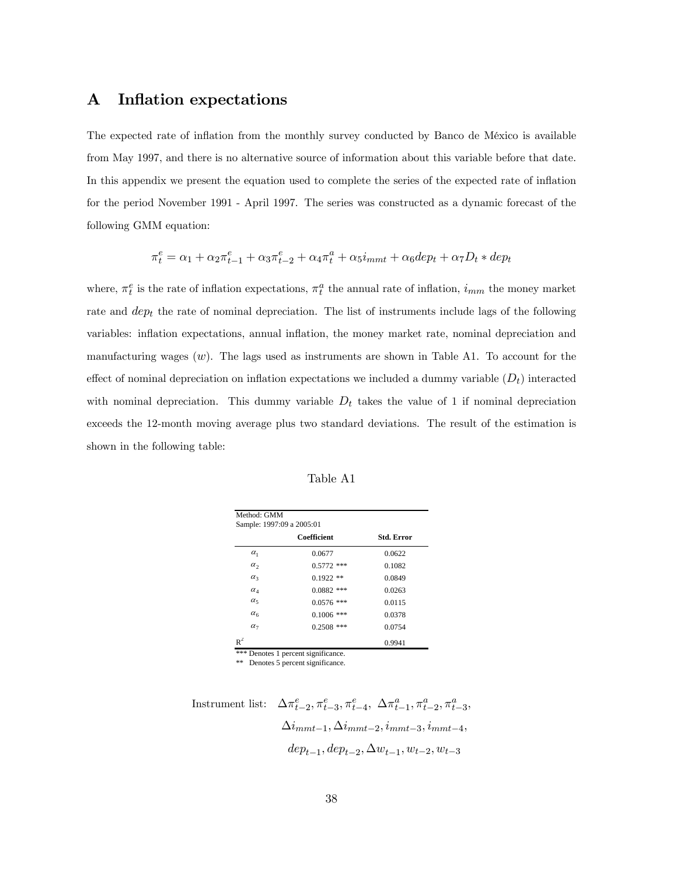### A Inflation expectations

The expected rate of inflation from the monthly survey conducted by Banco de México is available from May 1997, and there is no alternative source of information about this variable before that date. In this appendix we present the equation used to complete the series of the expected rate of inflation for the period November 1991 - April 1997. The series was constructed as a dynamic forecast of the following GMM equation:

$$
\pi_t^e = \alpha_1 + \alpha_2 \pi_{t-1}^e + \alpha_3 \pi_{t-2}^e + \alpha_4 \pi_t^a + \alpha_5 i_{mmt} + \alpha_6 dep_t + \alpha_7 D_t * dep_t
$$

where,  $\pi_t^e$  is the rate of inflation expectations,  $\pi_t^a$  the annual rate of inflation,  $i_{mm}$  the money market rate and  $dep<sub>t</sub>$  the rate of nominal depreciation. The list of instruments include lags of the following variables: inflation expectations, annual inflation, the money market rate, nominal depreciation and manufacturing wages  $(w)$ . The lags used as instruments are shown in Table A1. To account for the effect of nominal depreciation on inflation expectations we included a dummy variable  $(D_t)$  interacted with nominal depreciation. This dummy variable  $D_t$  takes the value of 1 if nominal depreciation exceeds the 12-month moving average plus two standard deviations. The result of the estimation is shown in the following table:

| Table | A 1 |
|-------|-----|
|-------|-----|

|                                  | Coefficient  | <b>Std. Error</b> |
|----------------------------------|--------------|-------------------|
| $\alpha_1$                       | 0.0677       | 0.0622            |
| $\alpha$ ,                       | $0.5772$ *** | 0.1082            |
| $\alpha_3$                       | $0.1922$ **  | 0.0849            |
| $\alpha_{\scriptscriptstyle{A}}$ | $0.0882$ *** | 0.0263            |
| $\alpha_{5}$                     | $0.0576$ *** | 0.0115            |
| $\alpha_{6}$                     | $0.1006$ *** | 0.0378            |
| $\alpha$ <sub>7</sub>            | $0.2508$ *** | 0.0754            |
|                                  |              | 0.9941            |

\*\* Denotes 5 percent significance.

Instrument list:  $\Delta \pi_{t-2}^e, \pi_{t-3}^e, \pi_{t-4}^e, \ \Delta \pi_{t-1}^a, \pi_{t-2}^a, \pi_{t-3}^a,$  $\Delta i_{mmt-1}, \Delta i_{mmt-2}, i_{mmt-3}, i_{mmt-4},$  $dep_{t-1}, dep_{t-2}, \Delta w_{t-1}, w_{t-2}, w_{t-3}$